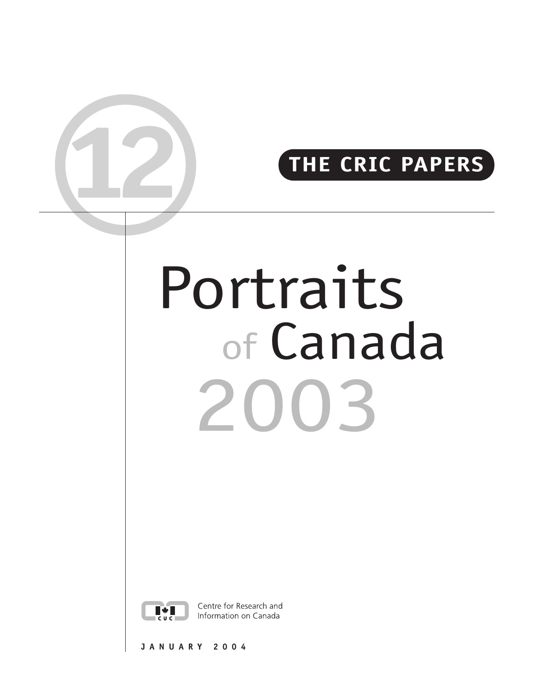# **12 THE CRIC PAPERS**

# Portraits of Canada 2003



Centre for Research and Information on Canada

**JANUARY 2004**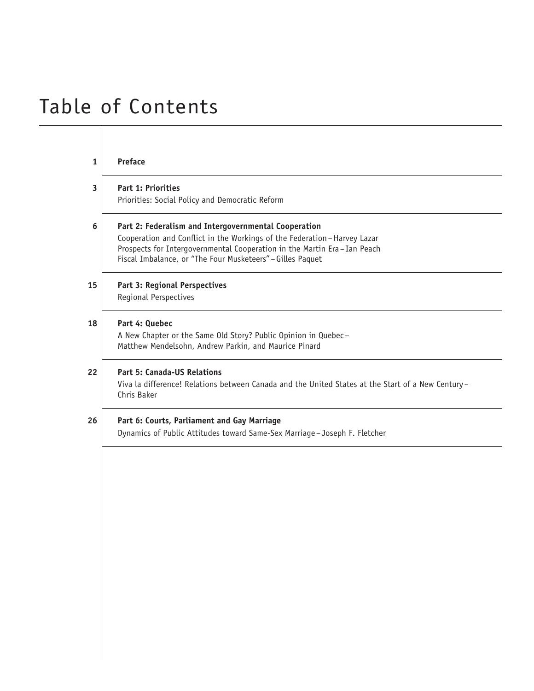# Table of Contents

| <b>Preface</b>                                                                                    |
|---------------------------------------------------------------------------------------------------|
| Part 1: Priorities                                                                                |
| Priorities: Social Policy and Democratic Reform                                                   |
| Part 2: Federalism and Intergovernmental Cooperation                                              |
| Cooperation and Conflict in the Workings of the Federation-Harvey Lazar                           |
| Prospects for Intergovernmental Cooperation in the Martin Era-Ian Peach                           |
| Fiscal Imbalance, or "The Four Musketeers" - Gilles Paquet                                        |
| <b>Part 3: Regional Perspectives</b>                                                              |
| Regional Perspectives                                                                             |
| Part 4: Quebec                                                                                    |
| A New Chapter or the Same Old Story? Public Opinion in Quebec-                                    |
| Matthew Mendelsohn, Andrew Parkin, and Maurice Pinard                                             |
| <b>Part 5: Canada-US Relations</b>                                                                |
| Viva la difference! Relations between Canada and the United States at the Start of a New Century- |
| Chris Baker                                                                                       |
| Part 6: Courts, Parliament and Gay Marriage                                                       |
| Dynamics of Public Attitudes toward Same-Sex Marriage-Joseph F. Fletcher                          |
|                                                                                                   |
|                                                                                                   |
|                                                                                                   |
|                                                                                                   |
|                                                                                                   |
|                                                                                                   |
|                                                                                                   |
|                                                                                                   |
|                                                                                                   |
|                                                                                                   |
|                                                                                                   |
|                                                                                                   |
|                                                                                                   |
|                                                                                                   |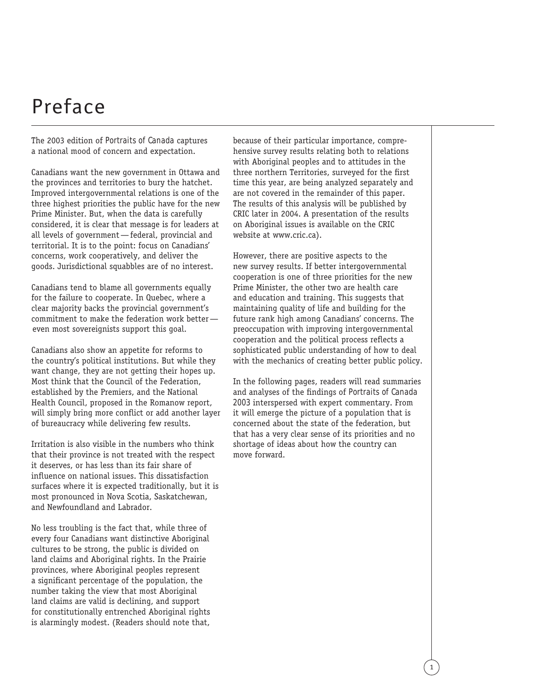# Preface

The 2003 edition of *Portraits of Canada* captures a national mood of concern and expectation.

Canadians want the new government in Ottawa and the provinces and territories to bury the hatchet. Improved intergovernmental relations is one of the three highest priorities the public have for the new Prime Minister. But, when the data is carefully considered, it is clear that message is for leaders at all levels of government—federal, provincial and territorial. It is to the point: focus on Canadians' concerns, work cooperatively, and deliver the goods. Jurisdictional squabbles are of no interest.

Canadians tend to blame all governments equally for the failure to cooperate. In Quebec, where a clear majority backs the provincial government's commitment to make the federation work better even most sovereignists support this goal.

Canadians also show an appetite for reforms to the country's political institutions. But while they want change, they are not getting their hopes up. Most think that the Council of the Federation, established by the Premiers, and the National Health Council, proposed in the Romanow report, will simply bring more conflict or add another layer of bureaucracy while delivering few results.

Irritation is also visible in the numbers who think that their province is not treated with the respect it deserves, or has less than its fair share of influence on national issues. This dissatisfaction surfaces where it is expected traditionally, but it is most pronounced in Nova Scotia, Saskatchewan, and Newfoundland and Labrador.

No less troubling is the fact that, while three of every four Canadians want distinctive Aboriginal cultures to be strong, the public is divided on land claims and Aboriginal rights. In the Prairie provinces, where Aboriginal peoples represent a significant percentage of the population, the number taking the view that most Aboriginal land claims are valid is declining, and support for constitutionally entrenched Aboriginal rights is alarmingly modest. (Readers should note that,

because of their particular importance, comprehensive survey results relating both to relations with Aboriginal peoples and to attitudes in the three northern Territories, surveyed for the first time this year, are being analyzed separately and are not covered in the remainder of this paper. The results of this analysis will be published by CRIC later in 2004. A presentation of the results on Aboriginal issues is available on the CRIC website at www.cric.ca).

However, there are positive aspects to the new survey results. If better intergovernmental cooperation is one of three priorities for the new Prime Minister, the other two are health care and education and training. This suggests that maintaining quality of life and building for the future rank high among Canadians' concerns. The preoccupation with improving intergovernmental cooperation and the political process reflects a sophisticated public understanding of how to deal with the mechanics of creating better public policy.

In the following pages, readers will read summaries and analyses of the findings of *Portraits of Canada 2003* interspersed with expert commentary. From it will emerge the picture of a population that is concerned about the state of the federation, but that has a very clear sense of its priorities and no shortage of ideas about how the country can move forward.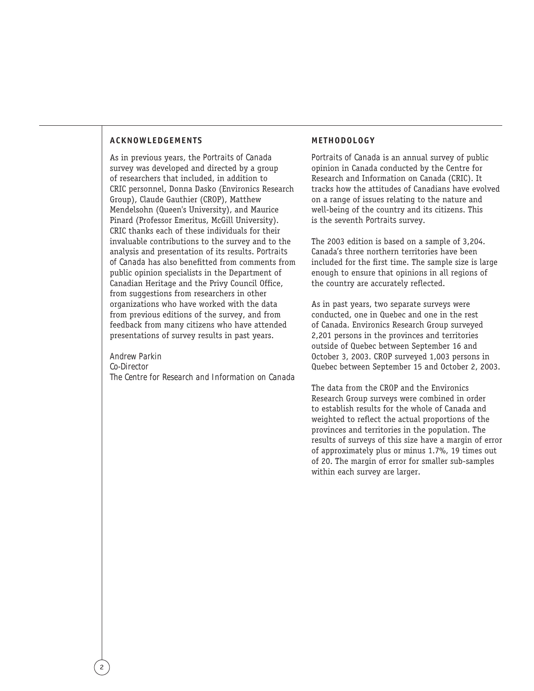#### **ACKNOWLEDGEMENTS**

As in previous years, the *Portraits of Canada* survey was developed and directed by a group of researchers that included, in addition to CRIC personnel, Donna Dasko (Environics Research Group), Claude Gauthier (CROP), Matthew Mendelsohn (Queen's University), and Maurice Pinard (Professor Emeritus, McGill University). CRIC thanks each of these individuals for their invaluable contributions to the survey and to the analysis and presentation of its results. *Portraits of Canada* has also benefitted from comments from public opinion specialists in the Department of Canadian Heritage and the Privy Council Office, from suggestions from researchers in other organizations who have worked with the data from previous editions of the survey, and from feedback from many citizens who have attended presentations of survey results in past years.

#### *Andrew Parkin*

*Co-Director The Centre for Research and Information on Canada*

#### **METHODOLOGY**

*Portraits of Canada* is an annual survey of public opinion in Canada conducted by the Centre for Research and Information on Canada (CRIC). It tracks how the attitudes of Canadians have evolved on a range of issues relating to the nature and well-being of the country and its citizens. This is the seventh *Portraits* survey.

The 2003 edition is based on a sample of 3,204. Canada's three northern territories have been included for the first time. The sample size is large enough to ensure that opinions in all regions of the country are accurately reflected.

As in past years, two separate surveys were conducted, one in Quebec and one in the rest of Canada. Environics Research Group surveyed 2,201 persons in the provinces and territories outside of Quebec between September 16 and October 3, 2003. CROP surveyed 1,003 persons in Quebec between September 15 and October 2, 2003.

The data from the CROP and the Environics Research Group surveys were combined in order to establish results for the whole of Canada and weighted to reflect the actual proportions of the provinces and territories in the population. The results of surveys of this size have a margin of error of approximately plus or minus 1.7%, 19 times out of 20. The margin of error for smaller sub-samples within each survey are larger.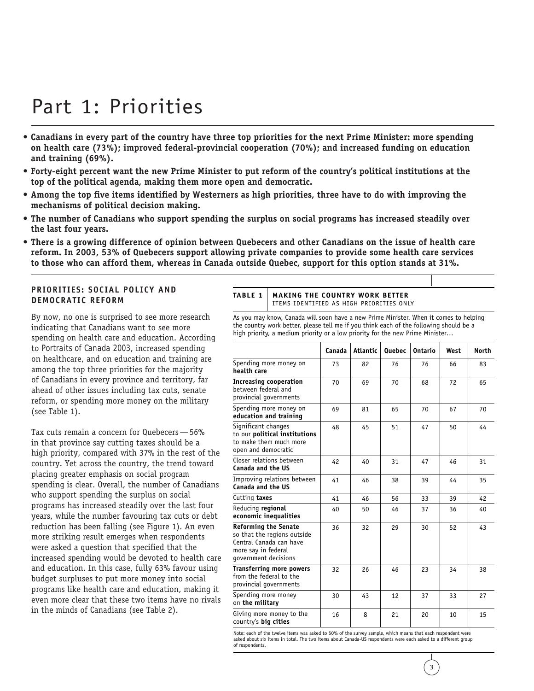# Part 1: Priorities

- **Canadians in every part of the country have three top priorities for the next Prime Minister: more spending on health care (73%); improved federal-provincial cooperation (70%); and increased funding on education and training (69%).**
- **Forty-eight percent want the new Prime Minister to put reform of the country's political institutions at the top of the political agenda, making them more open and democratic.**
- **Among the top five items identified by Westerners as high priorities, three have to do with improving the mechanisms of political decision making.**
- **The number of Canadians who support spending the surplus on social programs has increased steadily over the last four years.**
- **There is a growing difference of opinion between Quebecers and other Canadians on the issue of health care reform. In 2003, 53% of Quebecers support allowing private companies to provide some health care services to those who can afford them, whereas in Canada outside Quebec, support for this option stands at 31%.**

#### **PRIORITIES: SOCIAL POLICY AND DEMOCRATIC REFORM**

By now, no one is surprised to see more research indicating that Canadians want to see more spending on health care and education. According to *Portraits of Canada 2003*, increased spending on healthcare, and on education and training are among the top three priorities for the majority of Canadians in every province and territory, far ahead of other issues including tax cuts, senate reform, or spending more money on the military (see Table 1).

Tax cuts remain a concern for Quebecers—56% in that province say cutting taxes should be a high priority, compared with 37% in the rest of the country. Yet across the country, the trend toward placing greater emphasis on social program spending is clear. Overall, the number of Canadians who support spending the surplus on social programs has increased steadily over the last four years, while the number favouring tax cuts or debt reduction has been falling (see Figure 1). An even more striking result emerges when respondents were asked a question that specified that the increased spending would be devoted to health care and education. In this case, fully 63% favour using budget surpluses to put more money into social programs like health care and education, making it even more clear that these two items have no rivals in the minds of Canadians (see Table 2).

#### **TABLE 1 MAKING THE COUNTRY WORK BETTER**  ITEMS IDENTIFIED AS HIGH PRIORITIES ONLY

As you may know, Canada will soon have a new Prime Minister. When it comes to helping the country work better, please tell me if you think each of the following should be a high priority, a medium priority or a low priority for the new Prime Minister…

|                                                                                                                                      | Canada | Atlantic | <b>Quebec</b> | Ontario | West | <b>North</b> |
|--------------------------------------------------------------------------------------------------------------------------------------|--------|----------|---------------|---------|------|--------------|
| Spending more money on<br>health care                                                                                                | 73     | 82       | 76            | 76      | 66   | 83           |
| <b>Increasing cooperation</b><br>between federal and<br>provincial governments                                                       | 70     | 69       | 70            | 68      | 72   | 65           |
| Spending more money on<br>education and training                                                                                     | 69     | 81       | 65            | 70      | 67   | 70           |
| Significant changes<br>to our political institutions<br>to make them much more<br>open and democratic                                | 48     | 45       | 51            | 47      | 50   | 44           |
| Closer relations between<br>Canada and the US                                                                                        | 42     | 40       | 31            | 47      | 46   | 31           |
| Improving relations between<br>Canada and the US                                                                                     | 41     | 46       | 38            | 39      | 44   | 35           |
| Cutting taxes                                                                                                                        | 41     | 46       | 56            | 33      | 39   | 42           |
| Reducing regional<br>economic inequalities                                                                                           | 40     | 50       | 46            | 37      | 36   | 40           |
| <b>Reforming the Senate</b><br>so that the regions outside<br>Central Canada can have<br>more say in federal<br>government decisions | 36     | 32       | 29            | 30      | 52   | 43           |
| <b>Transferring more powers</b><br>from the federal to the<br>provincial governments                                                 | 32     | 26       | 46            | 23      | 34   | 38           |
| Spending more money<br>on the military                                                                                               | 30     | 43       | 12            | 37      | 33   | 27           |
| Giving more money to the<br>country's big cities                                                                                     | 16     | 8        | 21            | 20      | 10   | 15           |

Note: each of the twelve items was asked to 50% of the survey sample, which means that each respondent were asked about six items in total. The two items about Canada-US respondents were each asked to a different group of respondents.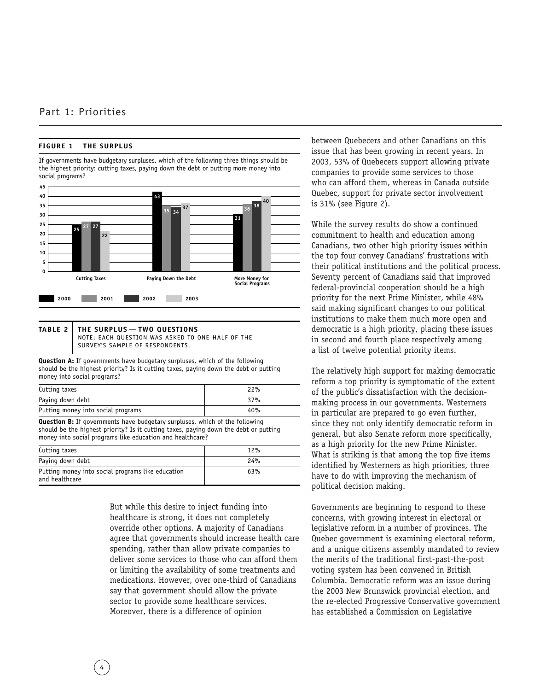#### Part 1: Priorities

#### **FIGURE 1 THE SURPLUS**

If governments have budgetary surpluses, which of the following three things should be the highest priority: cutting taxes, paying down the debt or putting more money into social programs?





**Question A:** If governments have budgetary surpluses, which of the following should be the highest priority? Is it cutting taxes, paying down the debt or putting money into social programs?

| Cutting taxes                      | 22% |
|------------------------------------|-----|
| Paying down debt                   | 37% |
| Putting money into social programs | 40% |

**Question B:** If governments have budgetary surpluses, which of the following should be the highest priority? Is it cutting taxes, paying down the debt or putting money into social programs like education and healthcare?

| Cutting taxes                                                       | 12% |
|---------------------------------------------------------------------|-----|
| Paying down debt                                                    | 24% |
| Putting money into social programs like education<br>and healthcare | 63% |

But while this desire to inject funding into healthcare is strong, it does not completely override other options. A majority of Canadians agree that governments should increase health care spending, rather than allow private companies to deliver some services to those who can afford them or limiting the availability of some treatments and medications. However, over one-third of Canadians say that government should allow the private sector to provide some healthcare services. Moreover, there is a difference of opinion

between Quebecers and other Canadians on this issue that has been growing in recent years. In 2003, 53% of Quebecers support allowing private companies to provide some services to those who can afford them, whereas in Canada outside Quebec, support for private sector involvement is 31% (see Figure 2).

While the survey results do show a continued commitment to health and education among Canadians, two other high priority issues within the top four convey Canadians' frustrations with their political institutions and the political process. Seventy percent of Canadians said that improved federal-provincial cooperation should be a high priority for the next Prime Minister, while 48% said making significant changes to our political institutions to make them much more open and democratic is a high priority, placing these issues in second and fourth place respectively among a list of twelve potential priority items.

The relatively high support for making democratic reform a top priority is symptomatic of the extent of the public's dissatisfaction with the decisionmaking process in our governments. Westerners in particular are prepared to go even further, since they not only identify democratic reform in general, but also Senate reform more specifically, as a high priority for the new Prime Minister. What is striking is that among the top five items identified by Westerners as high priorities, three have to do with improving the mechanism of political decision making.

Governments are beginning to respond to these concerns, with growing interest in electoral or legislative reform in a number of provinces. The Quebec government is examining electoral reform, and a unique citizens assembly mandated to review the merits of the traditional first-past-the-post voting system has been convened in British Columbia. Democratic reform was an issue during the 2003 New Brunswick provincial election, and the re-elected Progressive Conservative government has established a Commission on Legislative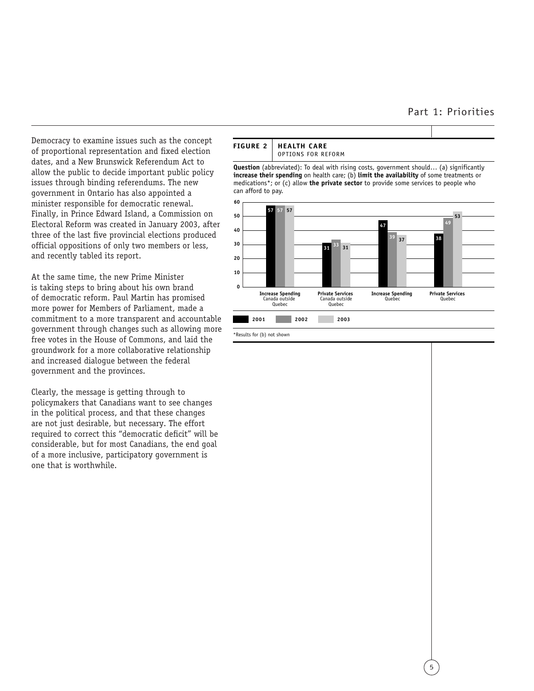#### Part 1: Priorities

Democracy to examine issues such as the concept of proportional representation and fixed election dates, and a New Brunswick Referendum Act to allow the public to decide important public policy issues through binding referendums. The new government in Ontario has also appointed a minister responsible for democratic renewal. Finally, in Prince Edward Island, a Commission on Electoral Reform was created in January 2003, after three of the last five provincial elections produced official oppositions of only two members or less, and recently tabled its report.

At the same time, the new Prime Minister is taking steps to bring about his own brand of democratic reform. Paul Martin has promised more power for Members of Parliament, made a commitment to a more transparent and accountable government through changes such as allowing more free votes in the House of Commons, and laid the groundwork for a more collaborative relationship and increased dialogue between the federal government and the provinces.

Clearly, the message is getting through to policymakers that Canadians want to see changes in the political process, and that these changes are not just desirable, but necessary. The effort required to correct this "democratic deficit" will be considerable, but for most Canadians, the end goal of a more inclusive, participatory government is one that is worthwhile.



**Question** (abbreviated): To deal with rising costs, government should… (a) significantly **increase their spending** on health care; (b) **limit the availability** of some treatments or medications\*; or (c) allow **the private sector** to provide some services to people who can afford to pay.



\*Results for (b) not shown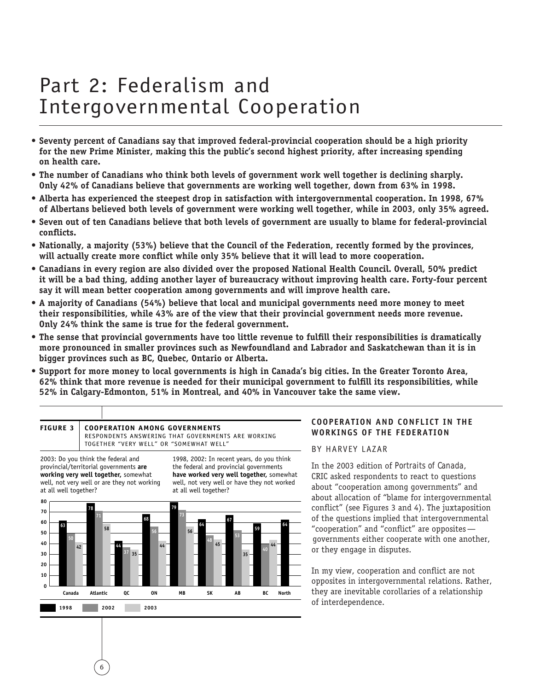- **Seventy percent of Canadians say that improved federal-provincial cooperation should be a high priority for the new Prime Minister, making this the public's second highest priority, after increasing spending on health care.**
- **The number of Canadians who think both levels of government work well together is declining sharply. Only 42% of Canadians believe that governments are working well together, down from 63% in 1998.**
- **Alberta has experienced the steepest drop in satisfaction with intergovernmental cooperation. In 1998, 67% of Albertans believed both levels of government were working well together, while in 2003, only 35% agreed.**
- **Seven out of ten Canadians believe that both levels of government are usually to blame for federal-provincial conflicts.**
- **Nationally, a majority (53%) believe that the Council of the Federation, recently formed by the provinces, will actually create more conflict while only 35% believe that it will lead to more cooperation.**
- **Canadians in every region are also divided over the proposed National Health Council. Overall, 50% predict it will be a bad thing, adding another layer of bureaucracy without improving health care. Forty-four percent say it will mean better cooperation among governments and will improve health care.**
- **A majority of Canadians (54%) believe that local and municipal governments need more money to meet their responsibilities, while 43% are of the view that their provincial government needs more revenue. Only 24% think the same is true for the federal government.**
- **The sense that provincial governments have too little revenue to fulfill their responsibilities is dramatically more pronounced in smaller provinces such as Newfoundland and Labrador and Saskatchewan than it is in bigger provinces such as BC, Quebec, Ontario or Alberta.**
- **Support for more money to local governments is high in Canada's big cities. In the Greater Toronto Area, 62% think that more revenue is needed for their municipal government to fulfill its responsibilities, while 52% in Calgary-Edmonton, 51% in Montreal, and 40% in Vancouver take the same view.**

#### **FIGURE 3 COOPERATION AMONG GOVERNMENTS**

RESPONDENTS ANSWERING THAT GOVERNMENTS ARE WORKING TOGETHER "VERY WELL" OR "SOMEWHAT WELL"

2003: Do you think the federal and provincial/territorial governments **are working very well together,** somewhat well, not very well or are they not working at all well together?

6

1998, 2002: In recent years, do you think the federal and provincial governments **have worked very well together,** somewhat well, not very well or have they not worked at all well together?



#### **COOPERATION AND CONFLICT IN THE WORKINGS OF THE FEDERATION**

#### BY HARVEY LAZAR

In the 2003 edition of *Portraits of Canada*, CRIC asked respondents to react to questions about "cooperation among governments" and about allocation of "blame for intergovernmental conflict" (see Figures 3 and 4). The juxtaposition of the questions implied that intergovernmental "cooperation" and "conflict" are opposites governments either cooperate with one another, or they engage in disputes.

In my view, cooperation and conflict are not opposites in intergovernmental relations. Rather, they are inevitable corollaries of a relationship of interdependence.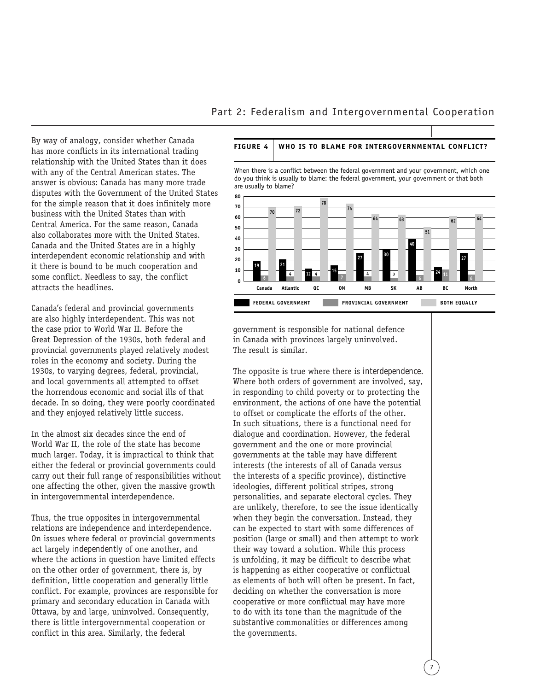By way of analogy, consider whether Canada has more conflicts in its international trading relationship with the United States than it does with any of the Central American states. The answer is obvious: Canada has many more trade disputes with the Government of the United States for the simple reason that it does infinitely more business with the United States than with Central America. For the same reason, Canada also collaborates more with the United States. Canada and the United States are in a highly interdependent economic relationship and with it there is bound to be much cooperation and some conflict. Needless to say, the conflict attracts the headlines.

Canada's federal and provincial governments are also highly interdependent. This was not the case prior to World War II. Before the Great Depression of the 1930s, both federal and provincial governments played relatively modest roles in the economy and society. During the 1930s, to varying degrees, federal, provincial, and local governments all attempted to offset the horrendous economic and social ills of that decade. In so doing, they were poorly coordinated and they enjoyed relatively little success.

In the almost six decades since the end of World War II, the role of the state has become much larger. Today, it is impractical to think that either the federal or provincial governments could carry out their full range of responsibilities without one affecting the other, given the massive growth in intergovernmental interdependence.

Thus, the true opposites in intergovernmental relations are independence and interdependence. On issues where federal or provincial governments act largely *independently* of one another, and where the actions in question have limited effects on the other order of government, there is, by definition, little cooperation and generally little conflict. For example, provinces are responsible for primary and secondary education in Canada with Ottawa, by and large, uninvolved. Consequently, there is little intergovernmental cooperation or conflict in this area. Similarly, the federal

#### **FIGURE 4 WHO IS TO BLAME FOR INTERGOVERNMENTAL CONFLICT?**

When there is a conflict between the federal government and your government, which one do you think is usually to blame: the federal government, your government or that both are usually to blame?



government is responsible for national defence in Canada with provinces largely uninvolved. The result is similar.

The opposite is true where there is *interdependence*. Where both orders of government are involved, say, in responding to child poverty or to protecting the environment, the actions of one have the potential to offset or complicate the efforts of the other. In such situations, there is a functional need for dialogue and coordination. However, the federal government and the one or more provincial governments at the table may have different interests (the interests of all of Canada versus the interests of a specific province), distinctive ideologies, different political stripes, strong personalities, and separate electoral cycles. They are unlikely, therefore, to see the issue identically when they begin the conversation. Instead, they can be expected to start with some differences of position (large or small) and then attempt to work their way toward a solution. While this process is unfolding, it may be difficult to describe what is happening as either cooperative or conflictual as elements of both will often be present. In fact, deciding on whether the conversation is more cooperative or more conflictual may have more to do with its tone than the magnitude of the *substantive* commonalities or differences among the governments.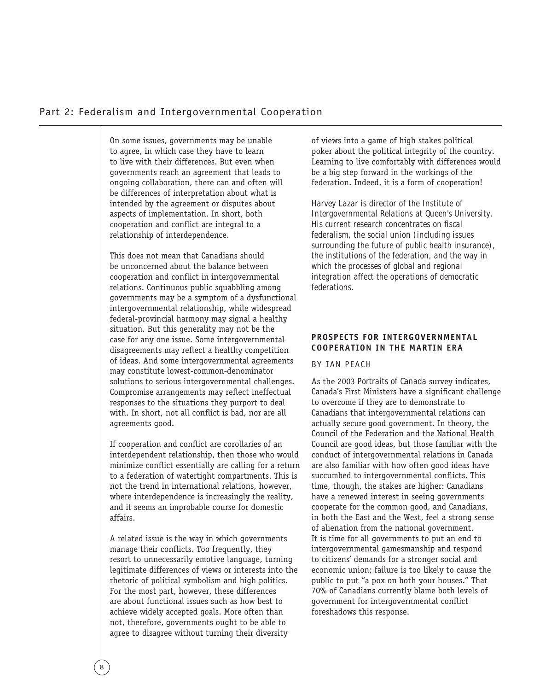On some issues, governments may be unable to agree, in which case they have to learn to live with their differences. But even when governments reach an agreement that leads to ongoing collaboration, there can and often will be differences of interpretation about what is intended by the agreement or disputes about aspects of implementation. In short, both cooperation and conflict are integral to a relationship of interdependence.

This does not mean that Canadians should be unconcerned about the balance between cooperation and conflict in intergovernmental relations. Continuous public squabbling among governments may be a symptom of a dysfunctional intergovernmental relationship, while widespread federal-provincial harmony may signal a healthy situation. But this generality may not be the case for any one issue. Some intergovernmental disagreements may reflect a healthy competition of ideas. And some intergovernmental agreements may constitute lowest-common-denominator solutions to serious intergovernmental challenges. Compromise arrangements may reflect ineffectual responses to the situations they purport to deal with. In short, not all conflict is bad, nor are all agreements good.

If cooperation and conflict are corollaries of an interdependent relationship, then those who would minimize conflict essentially are calling for a return to a federation of watertight compartments. This is not the trend in international relations, however, where interdependence is increasingly the reality, and it seems an improbable course for domestic affairs.

A related issue is the way in which governments manage their conflicts. Too frequently, they resort to unnecessarily emotive language, turning legitimate differences of views or interests into the rhetoric of political symbolism and high politics. For the most part, however, these differences are about functional issues such as how best to achieve widely accepted goals. More often than not, therefore, governments ought to be able to agree to disagree without turning their diversity

of views into a game of high stakes political poker about the political integrity of the country. Learning to live comfortably with differences would be a big step forward in the workings of the federation. Indeed, it is a form of cooperation!

*Harvey Lazar is director of the Institute of Intergovernmental Relations at Queen's University. His current research concentrates on fiscal federalism, the social union (including issues surrounding the future of public health insurance), the institutions of the federation, and the way in which the processes of global and regional integration affect the operations of democratic federations.*

#### **PROSPECTS FOR INTERGOVERNMENTAL COOPERATION IN THE MARTIN ERA**

#### BY IAN PEACH

As the 2003 *Portraits of Canada* survey indicates, Canada's First Ministers have a significant challenge to overcome if they are to demonstrate to Canadians that intergovernmental relations can actually secure good government. In theory, the Council of the Federation and the National Health Council are good ideas, but those familiar with the conduct of intergovernmental relations in Canada are also familiar with how often good ideas have succumbed to intergovernmental conflicts. This time, though, the stakes are higher: Canadians have a renewed interest in seeing governments cooperate for the common good, and Canadians, in both the East and the West, feel a strong sense of alienation from the national government. It is time for all governments to put an end to intergovernmental gamesmanship and respond to citizens' demands for a stronger social and economic union; failure is too likely to cause the public to put "a pox on both your houses." That 70% of Canadians currently blame both levels of government for intergovernmental conflict foreshadows this response.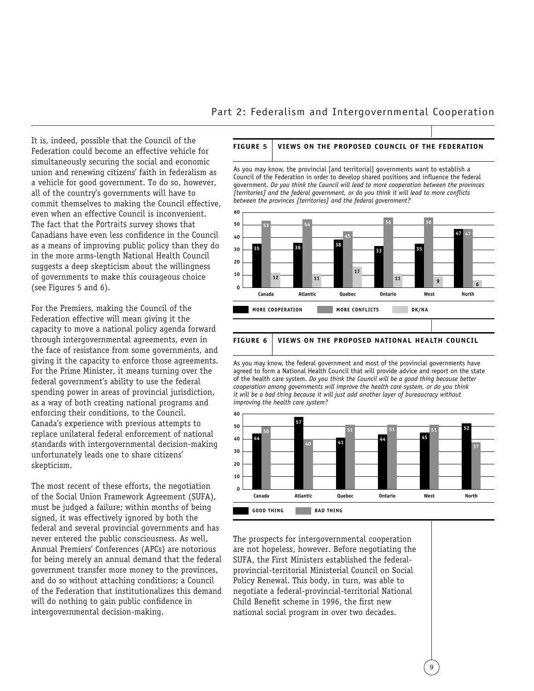It is, indeed, possible that the Council of the Federation could become an effective vehicle for simultaneously securing the social and economic union and renewing citizens' faith in federalism as a vehicle for good government. To do so, however, all of the country's governments will have to commit themselves to making the Council effective, even when an effective Council is inconvenient. The fact that the *Portraits* survey shows that Canadians have even less confidence in the Council as a means of improving public policy than they do in the more arms-length National Health Council suggests a deep skepticism about the willingness of governments to make this courageous choice (see Figures 5 and 6).

For the Premiers, making the Council of the Federation effective will mean giving it the capacity to move a national policy agenda forward through intergovernmental agreements, even in the face of resistance from some governments, and giving it the capacity to enforce those agreements. For the Prime Minister, it means turning over the federal government's ability to use the federal spending power in areas of provincial jurisdiction, as a way of both creating national programs and enforcing their conditions, to the Council. Canada's experience with previous attempts to replace unilateral federal enforcement of national standards with intergovernmental decision-making unfortunately leads one to share citizens' skepticism.

The most recent of these efforts, the negotiation of the Social Union Framework Agreement (SUFA), must be judged a failure; within months of being signed, it was effectively ignored by both the federal and several provincial governments and has never entered the public consciousness. As well, Annual Premiers' Conferences (APCs) are notorious for being merely an annual demand that the federal government transfer more money to the provinces, and do so without attaching conditions; a Council of the Federation that institutionalizes this demand will do nothing to gain public confidence in intergovernmental decision-making.

#### **FIGURE 5 VIEWS ON THE PROPOSED COUNCIL OF THE FEDERATION**

As you may know, the provincial [and territorial] governments want to establish a Council of the Federation in order to develop shared positions and influence the federal government. *Do you think the Council will lead to more cooperation between the provinces [territories] and the federal government, or do you think it will lead to more conflicts between the provinces [territories] and the federal government?*



As you may know, the federal government and most of the provincial governments have

agreed to form a National Health Council that will provide advice and report on the state of the health care system. *Do you think the Council will be a good thing because better cooperation among governments will improve the health care system, or do you think it will be a bad thing because it will just add another layer of bureaucracy without improving the health care system?*



The prospects for intergovernmental cooperation are not hopeless, however. Before negotiating the SUFA, the First Ministers established the federalprovincial-territorial Ministerial Council on Social Policy Renewal. This body, in turn, was able to negotiate a federal-provincial-territorial National Child Benefit scheme in 1996, the first new national social program in over two decades.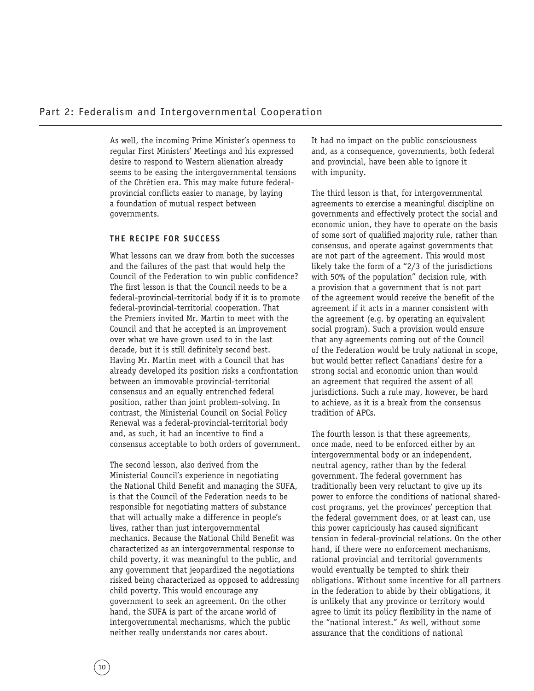As well, the incoming Prime Minister's openness to regular First Ministers' Meetings and his expressed desire to respond to Western alienation already seems to be easing the intergovernmental tensions of the Chrétien era. This may make future federalprovincial conflicts easier to manage, by laying a foundation of mutual respect between governments.

#### **THE RECIPE FOR SUCCESS**

What lessons can we draw from both the successes and the failures of the past that would help the Council of the Federation to win public confidence? The first lesson is that the Council needs to be a federal-provincial-territorial body if it is to promote federal-provincial-territorial cooperation. That the Premiers invited Mr. Martin to meet with the Council and that he accepted is an improvement over what we have grown used to in the last decade, but it is still definitely second best. Having Mr. Martin meet with a Council that has already developed its position risks a confrontation between an immovable provincial-territorial consensus and an equally entrenched federal position, rather than joint problem-solving. In contrast, the Ministerial Council on Social Policy Renewal was a federal-provincial-territorial body and, as such, it had an incentive to find a consensus acceptable to both orders of government.

The second lesson, also derived from the Ministerial Council's experience in negotiating the National Child Benefit and managing the SUFA, is that the Council of the Federation needs to be responsible for negotiating matters of substance that will actually make a difference in people's lives, rather than just intergovernmental mechanics. Because the National Child Benefit was characterized as an intergovernmental response to child poverty, it was meaningful to the public, and any government that jeopardized the negotiations risked being characterized as opposed to addressing child poverty. This would encourage any government to seek an agreement. On the other hand, the SUFA is part of the arcane world of intergovernmental mechanisms, which the public neither really understands nor cares about.

It had no impact on the public consciousness and, as a consequence, governments, both federal and provincial, have been able to ignore it with impunity.

The third lesson is that, for intergovernmental agreements to exercise a meaningful discipline on governments and effectively protect the social and economic union, they have to operate on the basis of some sort of qualified majority rule, rather than consensus, and operate against governments that are not part of the agreement. This would most likely take the form of a "2/3 of the jurisdictions with 50% of the population" decision rule, with a provision that a government that is not part of the agreement would receive the benefit of the agreement if it acts in a manner consistent with the agreement (e.g. by operating an equivalent social program). Such a provision would ensure that any agreements coming out of the Council of the Federation would be truly national in scope, but would better reflect Canadians' desire for a strong social and economic union than would an agreement that required the assent of all jurisdictions. Such a rule may, however, be hard to achieve, as it is a break from the consensus tradition of APCs.

The fourth lesson is that these agreements, once made, need to be enforced either by an intergovernmental body or an independent, neutral agency, rather than by the federal government. The federal government has traditionally been very reluctant to give up its power to enforce the conditions of national sharedcost programs, yet the provinces' perception that the federal government does, or at least can, use this power capriciously has caused significant tension in federal-provincial relations. On the other hand, if there were no enforcement mechanisms, rational provincial and territorial governments would eventually be tempted to shirk their obligations. Without some incentive for all partners in the federation to abide by their obligations, it is unlikely that any province or territory would agree to limit its policy flexibility in the name of the "national interest." As well, without some assurance that the conditions of national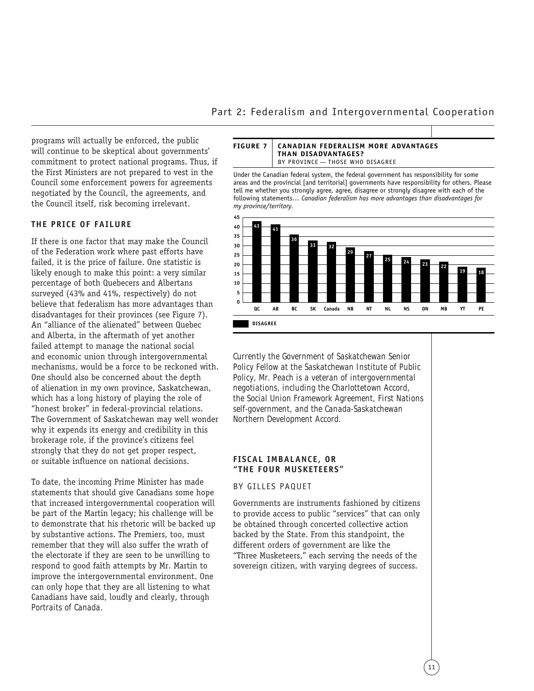programs will actually be enforced, the public will continue to be skeptical about governments' commitment to protect national programs. Thus, if the First Ministers are not prepared to vest in the Council some enforcement powers for agreements negotiated by the Council, the agreements, and the Council itself, risk becoming irrelevant.

#### **THE PRICE OF FAILURE**

If there is one factor that may make the Council of the Federation work where past efforts have failed, it is the price of failure. One statistic is likely enough to make this point: a very similar percentage of both Quebecers and Albertans surveyed (43% and 41%, respectively) do not believe that federalism has more advantages than disadvantages for their provinces (see Figure 7). An "alliance of the alienated" between Quebec and Alberta, in the aftermath of yet another failed attempt to manage the national social and economic union through intergovernmental mechanisms, would be a force to be reckoned with. One should also be concerned about the depth of alienation in my own province, Saskatchewan, which has a long history of playing the role of "honest broker" in federal-provincial relations. The Government of Saskatchewan may well wonder why it expends its energy and credibility in this brokerage role, if the province's citizens feel strongly that they do not get proper respect, or suitable influence on national decisions.

To date, the incoming Prime Minister has made statements that should give Canadians some hope that increased intergovernmental cooperation will be part of the Martin legacy; his challenge will be to demonstrate that his rhetoric will be backed up by substantive actions. The Premiers, too, must remember that they will also suffer the wrath of the electorate if they are seen to be unwilling to respond to good faith attempts by Mr. Martin to improve the intergovernmental environment. One can only hope that they are all listening to what Canadians have said, loudly and clearly, through *Portraits of Canada*.

#### **FIGURE 7 CANADIAN FEDERALISM MORE ADVANTAGES THAN DISADVANTAGES?**  BY PROVINCE — THOSE WHO DISAGREE

Under the Canadian federal system, the federal government has responsibility for some areas and the provincial [and territorial] governments have responsibility for others. Please tell me whether you strongly agree, agree, disagree or strongly disagree with each of the following statements… *Canadian federalism has more advantages than disadvantages for my province/territory.*



*Currently the Government of Saskatchewan Senior Policy Fellow at the Saskatchewan Institute of Public Policy, Mr. Peach is a veteran of intergovernmental negotiations, including the Charlottetown Accord, the Social Union Framework Agreement, First Nations self-government, and the Canada-Saskatchewan Northern Development Accord.*

#### **FISCAL IMBALANCE, OR "THE FOUR MUSKETEERS"**

#### BY GILLES PAQUET

Governments are instruments fashioned by citizens to provide access to public "services" that can only be obtained through concerted collective action backed by the State. From this standpoint, the different orders of government are like the "Three Musketeers," each serving the needs of the sovereign citizen, with varying degrees of success.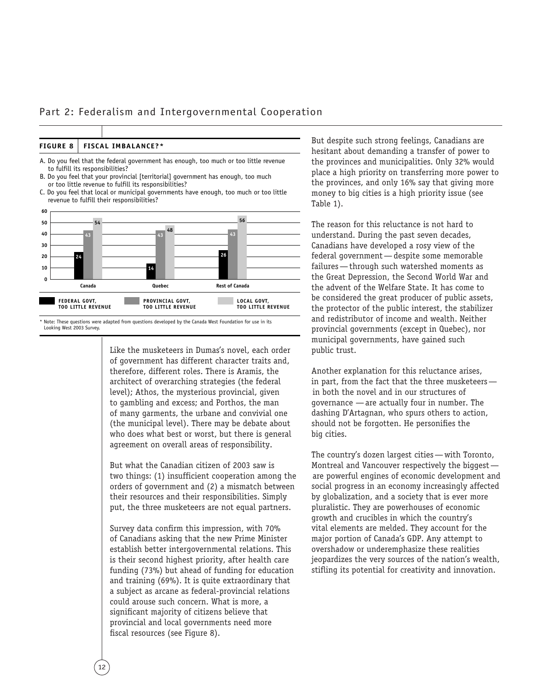Part 2: Federalism and Intergovernmental Cooperation

| FIGURE 8   FISCAL IMBALANCE?* |
|-------------------------------|
|                               |

A. Do you feel that the federal government has enough, too much or too little revenue to fulfill its responsibilities?

- B. Do you feel that your provincial [territorial] government has enough, too much or too little revenue to fulfill its responsibilities?
- C. Do you feel that local or municipal governments have enough, too much or too little revenue to fulfill their responsibilities?



\* Note: These questions were adapted from questions developed by the Canada West Foundation for use in its Looking West 2003 Survey.

Like the musketeers in Dumas's novel, each order of government has different character traits and, therefore, different roles. There is Aramis, the architect of overarching strategies (the federal level); Athos, the mysterious provincial, given to gambling and excess; and Porthos, the man of many garments, the urbane and convivial one (the municipal level). There may be debate about who does what best or worst, but there is general agreement on overall areas of responsibility.

But what the Canadian citizen of 2003 saw is two things: (1) insufficient cooperation among the orders of government and (2) a mismatch between their resources and their responsibilities. Simply put, the three musketeers are not equal partners.

Survey data confirm this impression, with 70% of Canadians asking that the new Prime Minister establish better intergovernmental relations. This is their second highest priority, after health care funding (73%) but ahead of funding for education and training (69%). It is quite extraordinary that a subject as arcane as federal-provincial relations could arouse such concern. What is more, a significant majority of citizens believe that provincial and local governments need more fiscal resources (see Figure 8).

But despite such strong feelings, Canadians are hesitant about demanding a transfer of power to the provinces and municipalities. Only 32% would place a high priority on transferring more power to the provinces, and only 16% say that giving more money to big cities is a high priority issue (see Table 1).

The reason for this reluctance is not hard to understand. During the past seven decades, Canadians have developed a rosy view of the federal government—despite some memorable failures—through such watershed moments as the Great Depression, the Second World War and the advent of the Welfare State. It has come to be considered the great producer of public assets, the protector of the public interest, the stabilizer and redistributor of income and wealth. Neither provincial governments (except in Quebec), nor municipal governments, have gained such public trust.

Another explanation for this reluctance arises, in part, from the fact that the three musketeers in both the novel and in our structures of governance —are actually four in number. The dashing D'Artagnan, who spurs others to action, should not be forgotten. He personifies the big cities.

The country's dozen largest cities—with Toronto, Montreal and Vancouver respectively the biggest are powerful engines of economic development and social progress in an economy increasingly affected by globalization, and a society that is ever more pluralistic. They are powerhouses of economic growth and crucibles in which the country's vital elements are melded. They account for the major portion of Canada's GDP. Any attempt to overshadow or underemphasize these realities jeopardizes the very sources of the nation's wealth, stifling its potential for creativity and innovation.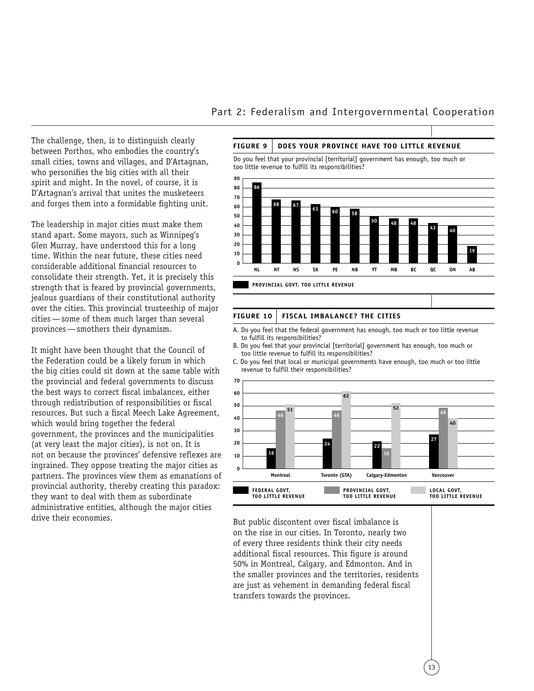The challenge, then, is to distinguish clearly between Porthos, who embodies the country's small cities, towns and villages, and D'Artagnan, who personifies the big cities with all their spirit and might. In the novel, of course, it is D'Artagnan's arrival that unites the musketeers and forges them into a formidable fighting unit.

The leadership in major cities must make them stand apart. Some mayors, such as Winnipeg's Glen Murray, have understood this for a long time. Within the near future, these cities need considerable additional financial resources to consolidate their strength. Yet, it is precisely this strength that is feared by provincial governments, jealous guardians of their constitutional authority over the cities. This provincial trusteeship of major cities—some of them much larger than several provinces—smothers their dynamism.

It might have been thought that the Council of the Federation could be a likely forum in which the big cities could sit down at the same table with the provincial and federal governments to discuss the best ways to correct fiscal imbalances, either through redistribution of responsibilities or fiscal resources. But such a fiscal Meech Lake Agreement, which would bring together the federal government, the provinces and the municipalities (at very least the major cities), is not on. It is not on because the provinces' defensive reflexes are ingrained. They oppose treating the major cities as partners. The provinces view them as emanations of provincial authority, thereby creating this paradox: they want to deal with them as subordinate administrative entities, although the major cities drive their economies. But public discontent over fiscal imbalance is

#### Part 2: Federalism and Intergovernmental Cooperation

#### **FIGURE 9 DOES YOUR PROVINCE HAVE TOO LITTLE REVENUE**

Do you feel that your provincial [territorial] government has enough, too much or too little revenue to fulfill its responsibilities?



#### **FIGURE 10 FISCAL IMBALANCE? THE CITIES**

- A. Do you feel that the federal government has enough, too much or too little revenue to fulfill its responsibilities?
- B. Do you feel that your provincial [territorial] government has enough, too much or too little revenue to fulfill its responsibilities?
- C. Do you feel that local or municipal governments have enough, too much or too little revenue to fulfill their responsibilities?



on the rise in our cities. In Toronto, nearly two of every three residents think their city needs additional fiscal resources. This figure is around 50% in Montreal, Calgary, and Edmonton. And in the smaller provinces and the territories, residents are just as vehement in demanding federal fiscal transfers towards the provinces.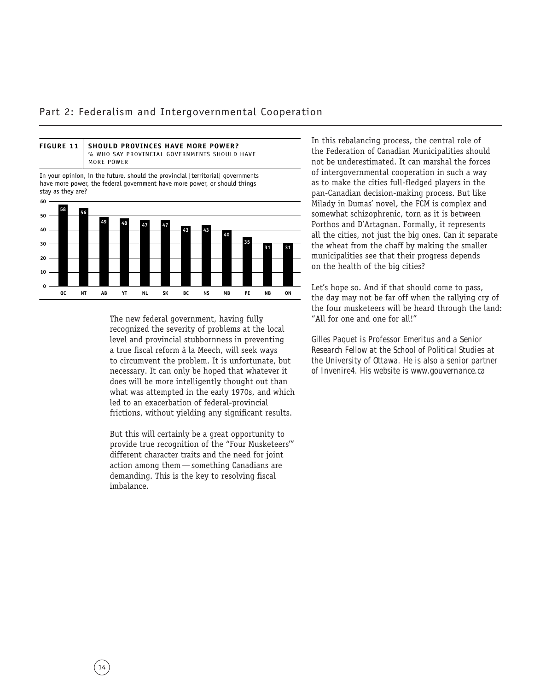

In your opinion, in the future, should the provincial [territorial] governments have more power, the federal government have more power, or should things stay as they are?



The new federal government, having fully recognized the severity of problems at the local level and provincial stubbornness in preventing a true fiscal reform à la Meech, will seek ways to circumvent the problem. It is unfortunate, but necessary. It can only be hoped that whatever it does will be more intelligently thought out than what was attempted in the early 1970s, and which led to an exacerbation of federal-provincial frictions, without yielding any significant results.

But this will certainly be a great opportunity to provide true recognition of the "Four Musketeers'" different character traits and the need for joint action among them—something Canadians are demanding. This is the key to resolving fiscal imbalance.

In this rebalancing process, the central role of the Federation of Canadian Municipalities should not be underestimated. It can marshal the forces of intergovernmental cooperation in such a way as to make the cities full-fledged players in the pan-Canadian decision-making process. But like Milady in Dumas' novel, the FCM is complex and somewhat schizophrenic, torn as it is between Porthos and D'Artagnan. Formally, it represents all the cities, not just the big ones. Can it separate the wheat from the chaff by making the smaller municipalities see that their progress depends on the health of the big cities?

Let's hope so. And if that should come to pass, the day may not be far off when the rallying cry of the four musketeers will be heard through the land: "All for one and one for all!"

*Gilles Paquet is Professor Emeritus and a Senior Research Fellow at the School of Political Studies at the University of Ottawa. He is also a senior partner of Invenire4. His website is www.gouvernance.ca*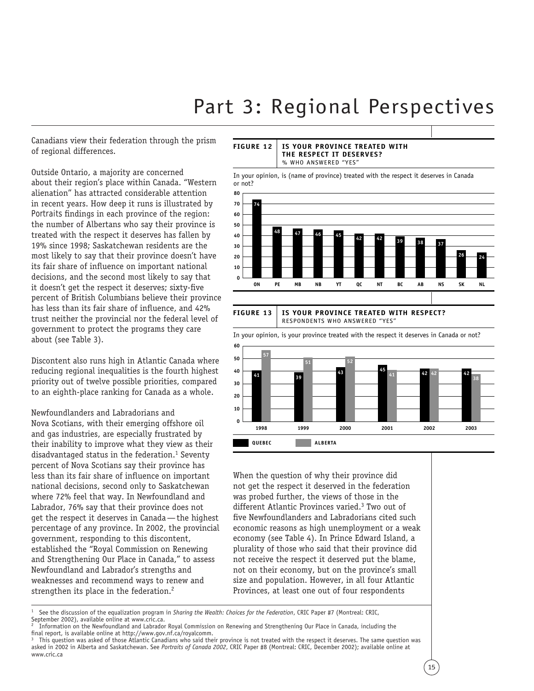Canadians view their federation through the prism of regional differences.

Outside Ontario, a majority are concerned about their region's place within Canada. "Western alienation" has attracted considerable attention in recent years. How deep it runs is illustrated by *Portraits* findings in each province of the region: the number of Albertans who say their province is treated with the respect it deserves has fallen by 19% since 1998; Saskatchewan residents are the most likely to say that their province doesn't have its fair share of influence on important national decisions, and the second most likely to say that it doesn't get the respect it deserves; sixty-five percent of British Columbians believe their province has less than its fair share of influence, and 42% trust neither the provincial nor the federal level of government to protect the programs they care about (see Table 3).

Discontent also runs high in Atlantic Canada where reducing regional inequalities is the fourth highest priority out of twelve possible priorities, compared to an eighth-place ranking for Canada as a whole.

Newfoundlanders and Labradorians and Nova Scotians, with their emerging offshore oil and gas industries, are especially frustrated by their inability to improve what they view as their disadvantaged status in the federation.<sup>1</sup> Seventy percent of Nova Scotians say their province has less than its fair share of influence on important national decisions, second only to Saskatchewan where 72% feel that way. In Newfoundland and Labrador, 76% say that their province does not get the respect it deserves in Canada—the highest percentage of any province. In 2002, the provincial government, responding to this discontent, established the "Royal Commission on Renewing and Strengthening Our Place in Canada," to assess Newfoundland and Labrador's strengths and weaknesses and recommend ways to renew and strengthen its place in the federation.<sup>2</sup>

#### **FIGURE 12 IS YOUR PROVINCE TREATED WITH THE RESPECT IT DESERVES?**  % WHO ANSWERED "YES"

In your opinion, is (name of province) treated with the respect it deserves in Canada or not?



#### **FIGURE 13 IS YOUR PROVINCE TREATED WITH RESPECT?**  RESPONDENTS WHO ANSWERED "YES"



When the question of why their province did not get the respect it deserved in the federation was probed further, the views of those in the different Atlantic Provinces varied.3 Two out of five Newfoundlanders and Labradorians cited such economic reasons as high unemployment or a weak economy (see Table 4). In Prince Edward Island, a plurality of those who said that their province did not receive the respect it deserved put the blame, not on their economy, but on the province's small size and population. However, in all four Atlantic Provinces, at least one out of four respondents

<sup>1</sup> See the discussion of the equalization program in *Sharing the Wealth: Choices for the Federation*, CRIC Paper #7 (Montreal: CRIC, September 2002), available online at www.cric.ca.

<sup>2</sup> Information on the Newfoundland and Labrador Royal Commission on Renewing and Strengthening Our Place in Canada, including the final report, is available online at http://www.gov.nf.ca/royalcomm.

This question was asked of those Atlantic Canadians who said their province is not treated with the respect it deserves. The same question was asked in 2002 in Alberta and Saskatchewan. See *Portraits of Canada 2002*, CRIC Paper #8 (Montreal: CRIC, December 2002); available online at www.cric.ca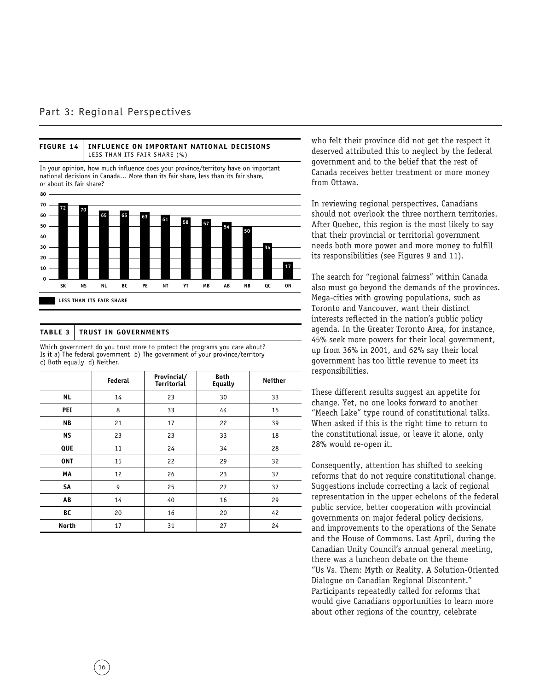#### Part 3: Regional Perspectives



#### **TABLE 3 TRUST IN GOVERNMENTS**

Which government do you trust more to protect the programs you care about? Is it a) The federal government b) The government of your province/territory c) Both equally d) Neither.

|              | Federal | Provincial/<br><b>Territorial</b> | <b>Both</b><br><b>Equally</b> | <b>Neither</b> |
|--------------|---------|-----------------------------------|-------------------------------|----------------|
| <b>NL</b>    | 14      | 23                                | 30                            | 33             |
| PEI          | 8       | 33                                | 44                            | 15             |
| <b>NB</b>    | 21      | 17                                | 22                            | 39             |
| <b>NS</b>    | 23      | 23                                | 33                            | 18             |
| QUE          | 11      | 24                                | 34                            | 28             |
| <b>ONT</b>   | 15      | 22                                | 29                            | 32             |
| MA           | 12      | 26                                | 23                            | 37             |
| SA           | 9       | 25                                | 27                            | 37             |
| AB           | 14      | 40                                | 16                            | 29             |
| BC           | 20      | 16                                | 20                            | 42             |
| <b>North</b> | 17      | 31                                | 27                            | 24             |

who felt their province did not get the respect it deserved attributed this to neglect by the federal government and to the belief that the rest of Canada receives better treatment or more money from Ottawa.

In reviewing regional perspectives, Canadians should not overlook the three northern territories. After Quebec, this region is the most likely to say that their provincial or territorial government needs both more power and more money to fulfill its responsibilities (see Figures 9 and 11).

The search for "regional fairness" within Canada also must go beyond the demands of the provinces. Mega-cities with growing populations, such as Toronto and Vancouver, want their distinct interests reflected in the nation's public policy agenda. In the Greater Toronto Area, for instance, 45% seek more powers for their local government, up from 36% in 2001, and 62% say their local government has too little revenue to meet its responsibilities.

These different results suggest an appetite for change. Yet, no one looks forward to another "Meech Lake" type round of constitutional talks. When asked if this is the right time to return to the constitutional issue, or leave it alone, only 28% would re-open it.

Consequently, attention has shifted to seeking reforms that do not require constitutional change. Suggestions include correcting a lack of regional representation in the upper echelons of the federal public service, better cooperation with provincial governments on major federal policy decisions, and improvements to the operations of the Senate and the House of Commons. Last April, during the Canadian Unity Council's annual general meeting, there was a luncheon debate on the theme "Us Vs. Them: Myth or Reality, A Solution-Oriented Dialogue on Canadian Regional Discontent." Participants repeatedly called for reforms that would give Canadians opportunities to learn more about other regions of the country, celebrate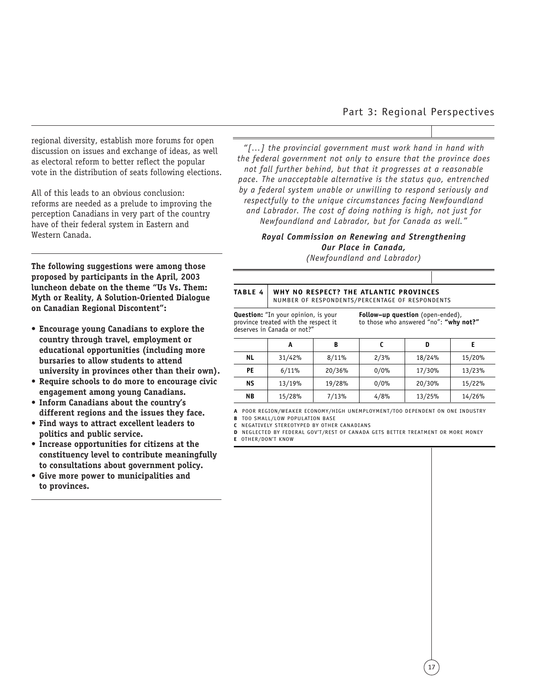regional diversity, establish more forums for open discussion on issues and exchange of ideas, as well as electoral reform to better reflect the popular vote in the distribution of seats following elections.

All of this leads to an obvious conclusion: reforms are needed as a prelude to improving the perception Canadians in very part of the country have of their federal system in Eastern and Western Canada.

**The following suggestions were among those proposed by participants in the April, 2003 luncheon debate on the theme "Us Vs. Them: Myth or Reality, A Solution-Oriented Dialogue on Canadian Regional Discontent":**

- **Encourage young Canadians to explore the country through travel, employment or educational opportunities (including more bursaries to allow students to attend university in provinces other than their own).**
- **Require schools to do more to encourage civic engagement among young Canadians.**
- **Inform Canadians about the country's different regions and the issues they face.**
- **Find ways to attract excellent leaders to politics and public service.**
- **Increase opportunities for citizens at the constituency level to contribute meaningfully to consultations about government policy.**
- **Give more power to municipalities and to provinces.**

#### Part 3: Regional Perspectives

*"[…] the provincial government must work hand in hand with the federal government not only to ensure that the province does not fall further behind, but that it progresses at a reasonable pace. The unacceptable alternative is the status quo, entrenched by a federal system unable or unwilling to respond seriously and respectfully to the unique circumstances facing Newfoundland and Labrador. The cost of doing nothing is high, not just for Newfoundland and Labrador, but for Canada as well."*

#### *Royal Commission on Renewing and Strengthening Our Place in Canada,*

*(Newfoundland and Labrador)* 

#### **TABLE 4 WHY NO RESPECT? THE ATLANTIC PROVINCES** NUMBER OF RESPONDENTS/PERCENTAGE OF RESPONDENTS

**Question:** "In your opinion, is your province treated with the respect it deserves in Canada or not?"

**Follow–up question** (open-ended), to those who answered "no": **"why not?"**

|           | Α      | В      |      | D      |        |
|-----------|--------|--------|------|--------|--------|
| <b>NL</b> | 31/42% | 8/11%  | 2/3% | 18/24% | 15/20% |
| PE        | 6/11%  | 20/36% | 0/0% | 17/30% | 13/23% |
| <b>NS</b> | 13/19% | 19/28% | 0/0% | 20/30% | 15/22% |
| <b>NB</b> | 15/28% | 7/13%  | 4/8% | 13/25% | 14/26% |

**A** POOR REGION/WEAKER ECONOMY/HIGH UNEMPLOYMENT/TOO DEPENDENT ON ONE INDUSTRY

**B** TOO SMALL/LOW POPULATION BASE

**C** NEGATIVELY STEREOTYPED BY OTHER CANADIANS

**D** NEGLECTED BY FEDERAL GOV'T/REST OF CANADA GETS BETTER TREATMENT OR MORE MONEY

**E** OTHER/DON'T KNOW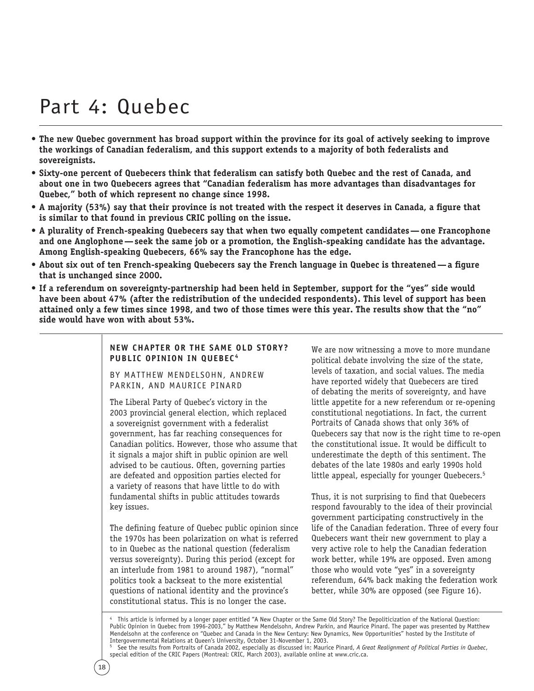## Part 4: Quebec

- **The new Quebec government has broad support within the province for its goal of actively seeking to improve the workings of Canadian federalism, and this support extends to a majority of both federalists and sovereignists.**
- **Sixty-one percent of Quebecers think that federalism can satisfy both Quebec and the rest of Canada, and about one in two Quebecers agrees that "Canadian federalism has more advantages than disadvantages for Quebec," both of which represent no change since 1998.**
- **A majority (53%) say that their province is not treated with the respect it deserves in Canada, a figure that is similar to that found in previous CRIC polling on the issue.**
- **A plurality of French-speaking Quebecers say that when two equally competent candidates—one Francophone and one Anglophone—seek the same job or a promotion, the English-speaking candidate has the advantage. Among English-speaking Quebecers, 66% say the Francophone has the edge.**
- **About six out of ten French-speaking Quebecers say the French language in Quebec is threatened—a figure that is unchanged since 2000.**
- **If a referendum on sovereignty-partnership had been held in September, support for the "yes" side would have been about 47% (after the redistribution of the undecided respondents). This level of support has been attained only a few times since 1998, and two of those times were this year. The results show that the "no" side would have won with about 53%.**

**NEW CHAPTER OR THE SAME OLD STORY? PUBLIC OPINION IN QUEBEC<sup>4</sup>** 

BY MATTHEW MENDELSOHN, ANDREW PARKIN, AND MAURICE PINARD

The Liberal Party of Quebec's victory in the 2003 provincial general election, which replaced a sovereignist government with a federalist government, has far reaching consequences for Canadian politics. However, those who assume that it signals a major shift in public opinion are well advised to be cautious. Often, governing parties are defeated and opposition parties elected for a variety of reasons that have little to do with fundamental shifts in public attitudes towards key issues.

The defining feature of Quebec public opinion since the 1970s has been polarization on what is referred to in Quebec as the national question (federalism versus sovereignty). During this period (except for an interlude from 1981 to around 1987), "normal" politics took a backseat to the more existential questions of national identity and the province's constitutional status. This is no longer the case.

We are now witnessing a move to more mundane political debate involving the size of the state, levels of taxation, and social values. The media have reported widely that Quebecers are tired of debating the merits of sovereignty, and have little appetite for a new referendum or re-opening constitutional negotiations. In fact, the current *Portraits of Canada* shows that only 36% of Quebecers say that now is the right time to re-open the constitutional issue. It would be difficult to underestimate the depth of this sentiment. The debates of the late 1980s and early 1990s hold little appeal, especially for younger Quebecers.<sup>5</sup>

Thus, it is not surprising to find that Quebecers respond favourably to the idea of their provincial government participating constructively in the life of the Canadian federation. Three of every four Quebecers want their new government to play a very active role to help the Canadian federation work better, while 19% are opposed. Even among those who would vote "yes" in a sovereignty referendum, 64% back making the federation work better, while 30% are opposed (see Figure 16).

This article is informed by a longer paper entitled "A New Chapter or the Same Old Story? The Depoliticization of the National Question: Public Opinion in Quebec from 1996-2003," by Matthew Mendelsohn, Andrew Parkin, and Maurice Pinard. The paper was presented by Matthew Mendelsohn at the conference on "Quebec and Canada in the New Century: New Dynamics, New Opportunities" hosted by the Institute of Intergovernmental Relations at Queen's University, October 31-November 1, 2003.

<sup>5</sup> See the results from Portraits of Canada 2002, especially as discussed in: Maurice Pinard, *A Great Realignment of Political Parties in Quebec*, special edition of the CRIC Papers (Montreal: CRIC, March 2003), available online at www.cric.ca.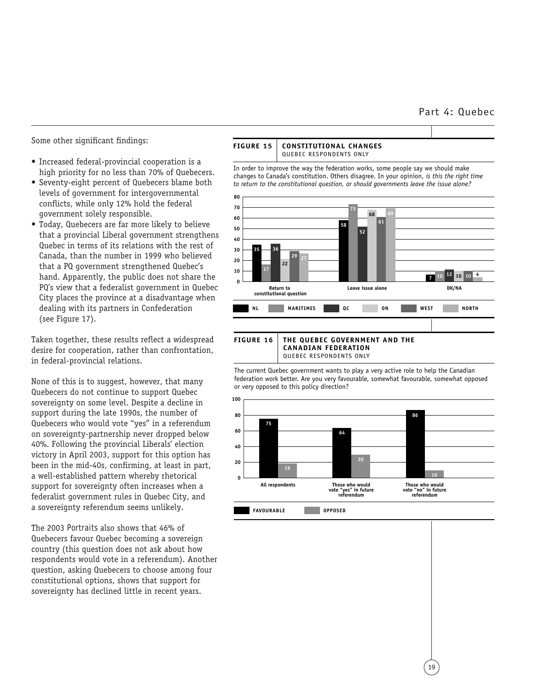#### Part 4: Quebec

Some other significant findings:

- Increased federal-provincial cooperation is a high priority for no less than 70% of Quebecers.
- Seventy-eight percent of Quebecers blame both levels of government for intergovernmental conflicts, while only 12% hold the federal government solely responsible.
- Today, Quebecers are far more likely to believe that a provincial Liberal government strengthens Quebec in terms of its relations with the rest of Canada, than the number in 1999 who believed that a PQ government strengthened Quebec's hand. Apparently, the public does not share the PQ's view that a federalist government in Quebec City places the province at a disadvantage when dealing with its partners in Confederation (see Figure 17).

Taken together, these results reflect a widespread desire for cooperation, rather than confrontation, in federal-provincial relations.

None of this is to suggest, however, that many Quebecers do not continue to support Quebec sovereignty on some level. Despite a decline in support during the late 1990s, the number of Quebecers who would vote "yes" in a referendum on sovereignty-partnership never dropped below 40%. Following the provincial Liberals' election victory in April 2003, support for this option has been in the mid-40s, confirming, at least in part, a well-established pattern whereby rhetorical support for sovereignty often increases when a federalist government rules in Quebec City, and a sovereignty referendum seems unlikely.

The 2003 *Portraits* also shows that 46% of Quebecers favour Quebec becoming a sovereign country (this question does not ask about how respondents would vote in a referendum). Another question, asking Quebecers to choose among four constitutional options, shows that support for sovereignty has declined little in recent years.



QUEBEC RESPONDENTS ONLY

The current Quebec government wants to play a very active role to help the Canadian federation work better. Are you very favourable, somewhat favourable, somewhat opposed or very opposed to this policy direction?



19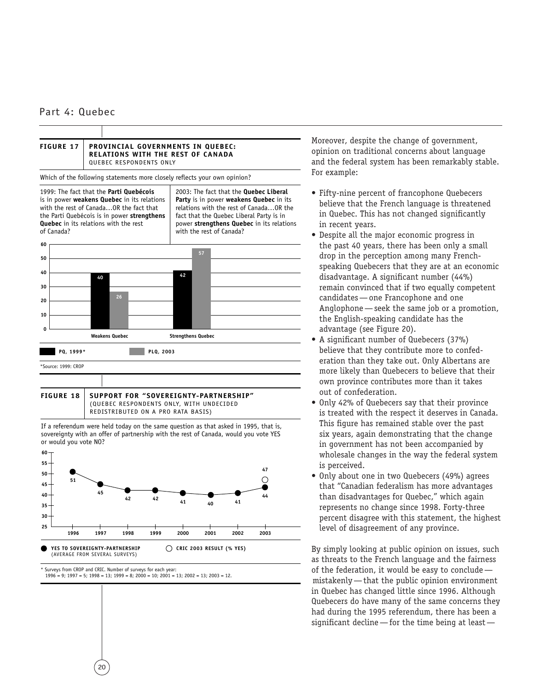

20

\* Surveys from CROP and CRIC. Number of surveys for each year:

**YES TO SOVEREIGNTY-PARTNERSHIP**  (AVERAGE FROM SEVERAL SURVEYS)

 $1996 = 9$ ;  $1997 = 5$ ;  $1998 = 13$ ;  $1999 = 8$ ;  $2000 = 10$ ;  $2001 = 13$ ;  $2002 = 13$ ;  $2003 = 12$ .

**CRIC 2003 RESULT (% YES)**

Moreover, despite the change of government, opinion on traditional concerns about language and the federal system has been remarkably stable. For example:

- Fifty-nine percent of francophone Quebecers believe that the French language is threatened in Quebec. This has not changed significantly in recent years.
- Despite all the major economic progress in the past 40 years, there has been only a small drop in the perception among many Frenchspeaking Quebecers that they are at an economic disadvantage. A significant number (44%) remain convinced that if two equally competent candidates—one Francophone and one Anglophone—seek the same job or a promotion, the English-speaking candidate has the advantage (see Figure 20).
- A significant number of Quebecers (37%) believe that they contribute more to confederation than they take out. Only Albertans are more likely than Quebecers to believe that their own province contributes more than it takes out of confederation.
- Only 42% of Quebecers say that their province is treated with the respect it deserves in Canada. This figure has remained stable over the past six years, again demonstrating that the change in government has not been accompanied by wholesale changes in the way the federal system is perceived.
- Only about one in two Quebecers (49%) agrees that "Canadian federalism has more advantages than disadvantages for Quebec," which again represents no change since 1998. Forty-three percent disagree with this statement, the highest level of disagreement of any province.

By simply looking at public opinion on issues, such as threats to the French language and the fairness of the federation, it would be easy to conclude mistakenly—that the public opinion environment in Quebec has changed little since 1996. Although Quebecers do have many of the same concerns they had during the 1995 referendum, there has been a significant decline—for the time being at least—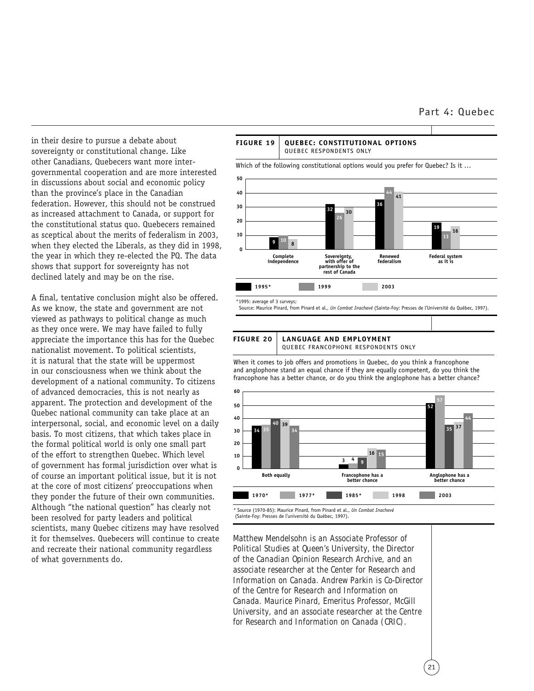#### Part 4: Quebec

in their desire to pursue a debate about sovereignty or constitutional change. Like other Canadians, Quebecers want more intergovernmental cooperation and are more interested in discussions about social and economic policy than the province's place in the Canadian federation. However, this should not be construed as increased attachment to Canada, or support for the constitutional status quo. Quebecers remained as sceptical about the merits of federalism in 2003, when they elected the Liberals, as they did in 1998, the year in which they re-elected the PQ. The data shows that support for sovereignty has not declined lately and may be on the rise.

A final, tentative conclusion might also be offered. As we know, the state and government are not viewed as pathways to political change as much as they once were. We may have failed to fully appreciate the importance this has for the Quebec nationalist movement. To political scientists, it is natural that the state will be uppermost in our consciousness when we think about the development of a national community. To citizens of advanced democracies, this is not nearly as apparent. The protection and development of the Quebec national community can take place at an interpersonal, social, and economic level on a daily basis. To most citizens, that which takes place in the formal political world is only one small part of the effort to strengthen Quebec. Which level of government has formal jurisdiction over what is of course an important political issue, but it is not at the core of most citizens' preoccupations when they ponder the future of their own communities. Although "the national question" has clearly not been resolved for party leaders and political scientists, many Quebec citizens may have resolved it for themselves. Quebecers will continue to create and recreate their national community regardless of what governments do.



#### **FIGURE 20 LANGUAGE AND EMPLOYMENT** QUEBEC FRANCOPHONE RESPONDENTS ONLY

When it comes to job offers and promotions in Quebec, do you think a francophone and anglophone stand an equal chance if they are equally competent, do you think the francophone has a better chance, or do you think the anglophone has a better chance?



(Sainte-Foy: Presses de l'université du Québec, 1997).

*Matthew Mendelsohn is an Associate Professor of Political Studies at Queen's University, the Director of the Canadian Opinion Research Archive, and an associate researcher at the Center for Research and Information on Canada. Andrew Parkin is Co-Director of the Centre for Research and Information on Canada. Maurice Pinard, Emeritus Professor, McGill University, and an associate researcher at the Centre for Research and Information on Canada (CRIC).*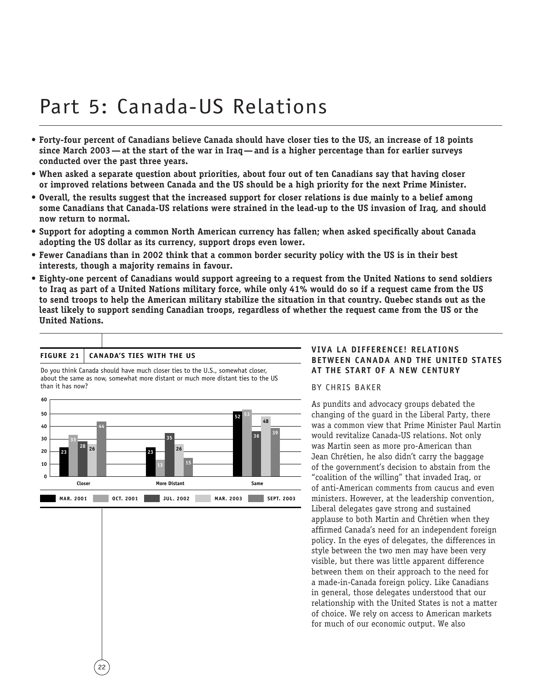# Part 5: Canada-US Relations

- **Forty-four percent of Canadians believe Canada should have closer ties to the US, an increase of 18 points since March 2003—at the start of the war in Iraq—and is a higher percentage than for earlier surveys conducted over the past three years.**
- **When asked a separate question about priorities, about four out of ten Canadians say that having closer or improved relations between Canada and the US should be a high priority for the next Prime Minister.**
- **Overall, the results suggest that the increased support for closer relations is due mainly to a belief among some Canadians that Canada-US relations were strained in the lead-up to the US invasion of Iraq, and should now return to normal.**
- **Support for adopting a common North American currency has fallen; when asked specifically about Canada adopting the US dollar as its currency, support drops even lower.**
- **Fewer Canadians than in 2002 think that a common border security policy with the US is in their best interests, though a majority remains in favour.**
- **Eighty-one percent of Canadians would support agreeing to a request from the United Nations to send soldiers to Iraq as part of a United Nations military force, while only 41% would do so if a request came from the US to send troops to help the American military stabilize the situation in that country. Quebec stands out as the least likely to support sending Canadian troops, regardless of whether the request came from the US or the United Nations.**



Do you think Canada should have much closer ties to the U.S., somewhat closer,

#### **FIGURE 21 CANADA'S TIES WITH THE US**

22

**VIVA LA DIFFERENCE! RELATIONS BETWEEN CANADA AND THE UNITED STATES AT THE START OF A NEW CENTURY** 

BY CHRIS BAKER

As pundits and advocacy groups debated the changing of the guard in the Liberal Party, there was a common view that Prime Minister Paul Martin would revitalize Canada-US relations. Not only was Martin seen as more pro-American than Jean Chrétien, he also didn't carry the baggage of the government's decision to abstain from the "coalition of the willing" that invaded Iraq, or of anti-American comments from caucus and even ministers. However, at the leadership convention, Liberal delegates gave strong and sustained applause to both Martin and Chrétien when they affirmed Canada's need for an independent foreign policy. In the eyes of delegates, the differences in style between the two men may have been very visible, but there was little apparent difference between them on their approach to the need for a made-in-Canada foreign policy. Like Canadians in general, those delegates understood that our relationship with the United States is not a matter of choice. We rely on access to American markets for much of our economic output. We also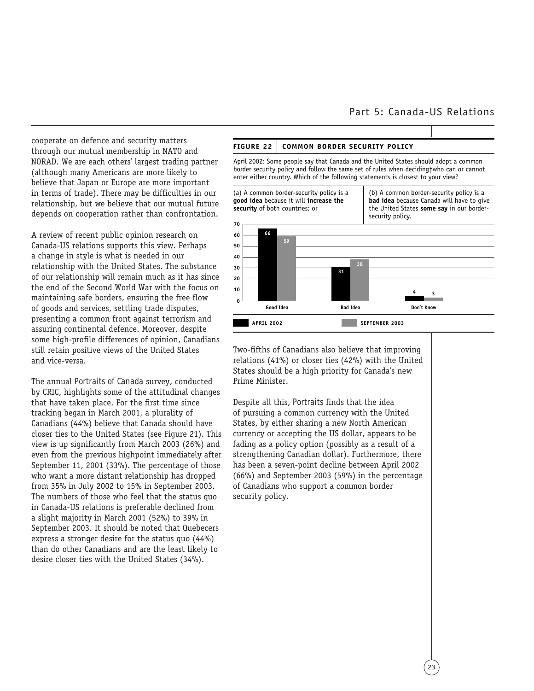#### Part 5: Canada-US Relations

cooperate on defence and security matters through our mutual membership in NATO and NORAD. We are each others' largest trading partner (although many Americans are more likely to believe that Japan or Europe are more important in terms of trade). There may be difficulties in our relationship, but we believe that our mutual future depends on cooperation rather than confrontation.

A review of recent public opinion research on Canada-US relations supports this view. Perhaps a change in style is what is needed in our relationship with the United States. The substance of our relationship will remain much as it has since the end of the Second World War with the focus on maintaining safe borders, ensuring the free flow of goods and services, settling trade disputes, presenting a common front against terrorism and assuring continental defence. Moreover, despite some high-profile differences of opinion, Canadians still retain positive views of the United States and vice-versa.

The annual *Portraits of Canada* survey, conducted by CRIC, highlights some of the attitudinal changes that have taken place. For the first time since tracking began in March 2001, a plurality of Canadians (44%) believe that Canada should have closer ties to the United States (see Figure 21). This view is up significantly from March 2003 (26%) and even from the previous highpoint immediately after September 11, 2001 (33%). The percentage of those who want a more distant relationship has dropped from 35% in July 2002 to 15% in September 2003. The numbers of those who feel that the status quo in Canada-US relations is preferable declined from a slight majority in March 2001 (52%) to 39% in September 2003. It should be noted that Quebecers express a stronger desire for the status quo (44%) than do other Canadians and are the least likely to desire closer ties with the United States (34%).

#### **FIGURE 22 COMMON BORDER SECURITY POLICY**

April 2002: Some people say that Canada and the United States should adopt a common border security policy and follow the same set of rules when deciding†who can or cannot enter either country. Which of the following statements is closest to your view?



Two-fifths of Canadians also believe that improving relations (41%) or closer ties (42%) with the United States should be a high priority for Canada's new Prime Minister.

Despite all this, *Portraits* finds that the idea of pursuing a common currency with the United States, by either sharing a new North American currency or accepting the US dollar, appears to be fading as a policy option (possibly as a result of a strengthening Canadian dollar). Furthermore, there has been a seven-point decline between April 2002 (66%) and September 2003 (59%) in the percentage of Canadians who support a common border security policy.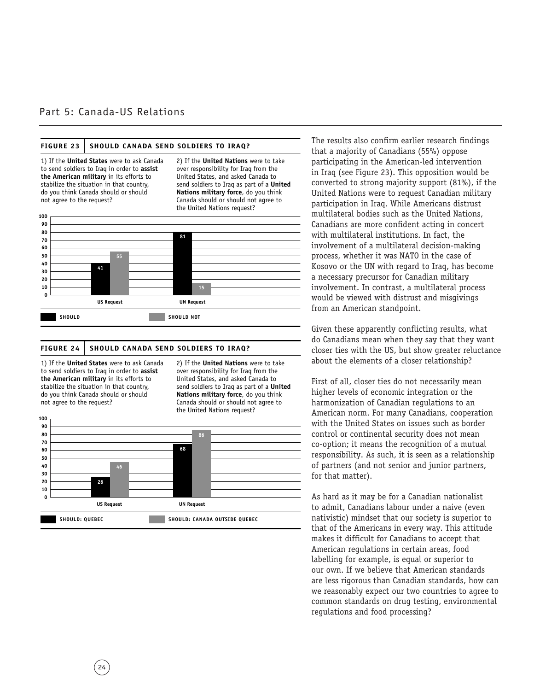#### Part 5: Canada-US Relations



to send soldiers to Iraq in order to **assist the American military** in its efforts to stabilize the situation in that country, do you think Canada should or should not agree to the request?

24

over responsibility for Iraq from the United States, and asked Canada to send soldiers to Iraq as part of a **United Nations military force**, do you think Canada should or should not agree to the United Nations request?



The results also confirm earlier research findings that a majority of Canadians (55%) oppose participating in the American-led intervention in Iraq (see Figure 23). This opposition would be converted to strong majority support (81%), if the United Nations were to request Canadian military participation in Iraq. While Americans distrust multilateral bodies such as the United Nations, Canadians are more confident acting in concert with multilateral institutions. In fact, the involvement of a multilateral decision-making process, whether it was NATO in the case of Kosovo or the UN with regard to Iraq, has become a necessary precursor for Canadian military involvement. In contrast, a multilateral process would be viewed with distrust and misgivings from an American standpoint.

Given these apparently conflicting results, what do Canadians mean when they say that they want closer ties with the US, but show greater reluctance about the elements of a closer relationship?

First of all, closer ties do not necessarily mean higher levels of economic integration or the harmonization of Canadian regulations to an American norm. For many Canadians, cooperation with the United States on issues such as border control or continental security does not mean co-option; it means the recognition of a mutual responsibility. As such, it is seen as a relationship of partners (and not senior and junior partners, for that matter).

As hard as it may be for a Canadian nationalist to admit, Canadians labour under a naive (even nativistic) mindset that our society is superior to that of the Americans in every way. This attitude makes it difficult for Canadians to accept that American regulations in certain areas, food labelling for example, is equal or superior to our own. If we believe that American standards are less rigorous than Canadian standards, how can we reasonably expect our two countries to agree to common standards on drug testing, environmental regulations and food processing?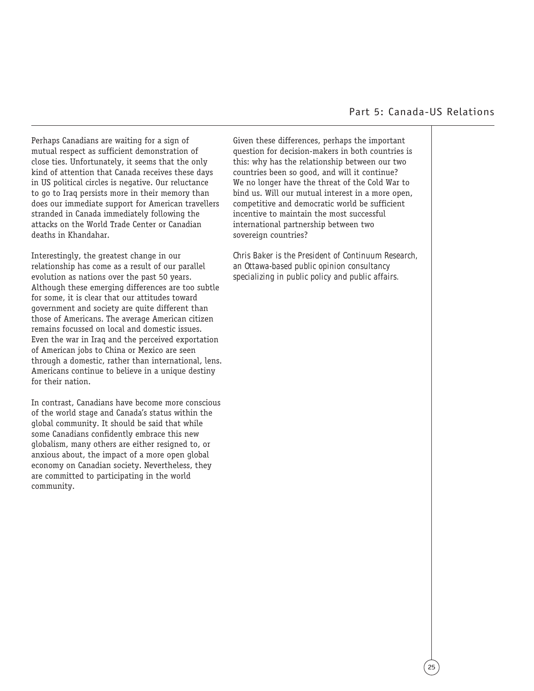Perhaps Canadians are waiting for a sign of mutual respect as sufficient demonstration of close ties. Unfortunately, it seems that the only kind of attention that Canada receives these days in US political circles is negative. Our reluctance to go to Iraq persists more in their memory than does our immediate support for American travellers stranded in Canada immediately following the attacks on the World Trade Center or Canadian deaths in Khandahar.

Interestingly, the greatest change in our relationship has come as a result of our parallel evolution as nations over the past 50 years. Although these emerging differences are too subtle for some, it is clear that our attitudes toward government and society are quite different than those of Americans. The average American citizen remains focussed on local and domestic issues. Even the war in Iraq and the perceived exportation of American jobs to China or Mexico are seen through a domestic, rather than international, lens. Americans continue to believe in a unique destiny for their nation.

In contrast, Canadians have become more conscious of the world stage and Canada's status within the global community. It should be said that while some Canadians confidently embrace this new globalism, many others are either resigned to, or anxious about, the impact of a more open global economy on Canadian society. Nevertheless, they are committed to participating in the world community.

Given these differences, perhaps the important question for decision-makers in both countries is this: why has the relationship between our two countries been so good, and will it continue? We no longer have the threat of the Cold War to bind us. Will our mutual interest in a more open, competitive and democratic world be sufficient incentive to maintain the most successful international partnership between two sovereign countries?

*Chris Baker is the President of Continuum Research, an Ottawa-based public opinion consultancy specializing in public policy and public affairs.*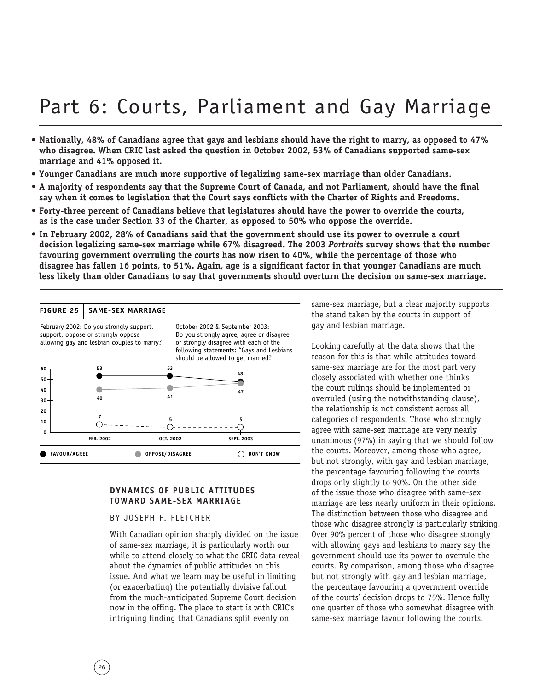# Part 6: Courts, Parliament and Gay Marriage

- **Nationally, 48% of Canadians agree that gays and lesbians should have the right to marry, as opposed to 47% who disagree. When CRIC last asked the question in October 2002, 53% of Canadians supported same-sex marriage and 41% opposed it.**
- **Younger Canadians are much more supportive of legalizing same-sex marriage than older Canadians.**
- **A majority of respondents say that the Supreme Court of Canada, and not Parliament, should have the final say when it comes to legislation that the Court says conflicts with the Charter of Rights and Freedoms.**
- **Forty-three percent of Canadians believe that legislatures should have the power to override the courts, as is the case under Section 33 of the Charter, as opposed to 50% who oppose the override.**
- **In February 2002, 28% of Canadians said that the government should use its power to overrule a court decision legalizing same-sex marriage while 67% disagreed. The 2003** *Portraits* **survey shows that the number favouring government overruling the courts has now risen to 40%, while the percentage of those who disagree has fallen 16 points, to 51%. Again, age is a significant factor in that younger Canadians are much less likely than older Canadians to say that governments should overturn the decision on same-sex marriage.**

| February 2002: Do you strongly support,<br>October 2002 & September 2003:<br>Do you strongly agree, agree or disagree<br>support, oppose or strongly oppose<br>allowing gay and lesbian couples to marry?<br>or strongly disagree with each of the<br>following statements: "Gays and Lesbians<br>should be allowed to get married?<br>53<br>53<br>$60 -$<br>48<br>50<br>40<br>47<br>41<br>40<br>30<br>20 <sub>1</sub><br>7<br>5<br>5<br>$10 -$ | <b>FIGURE 25</b> | <b>SAME-SEX MARRIAGE</b> |  |
|-------------------------------------------------------------------------------------------------------------------------------------------------------------------------------------------------------------------------------------------------------------------------------------------------------------------------------------------------------------------------------------------------------------------------------------------------|------------------|--------------------------|--|
|                                                                                                                                                                                                                                                                                                                                                                                                                                                 |                  |                          |  |
|                                                                                                                                                                                                                                                                                                                                                                                                                                                 |                  |                          |  |
| <b>FEB. 2002</b><br><b>OCT. 2002</b><br><b>SEPT. 2003</b>                                                                                                                                                                                                                                                                                                                                                                                       | 0                |                          |  |

#### **DYNAMICS OF PUBLIC ATTITUDES TOWARD SAME-SEX MARRIAGE**

#### BY JOSEPH F. FLETCHER

With Canadian opinion sharply divided on the issue of same-sex marriage, it is particularly worth our while to attend closely to what the CRIC data reveal about the dynamics of public attitudes on this issue. And what we learn may be useful in limiting (or exacerbating) the potentially divisive fallout from the much-anticipated Supreme Court decision now in the offing. The place to start is with CRIC's intriguing finding that Canadians split evenly on

same-sex marriage, but a clear majority supports the stand taken by the courts in support of gay and lesbian marriage.

Looking carefully at the data shows that the reason for this is that while attitudes toward same-sex marriage are for the most part very closely associated with whether one thinks the court rulings should be implemented or overruled (using the notwithstanding clause), the relationship is not consistent across all categories of respondents. Those who strongly agree with same-sex marriage are very nearly unanimous (97%) in saying that we should follow the courts. Moreover, among those who agree, but not strongly, with gay and lesbian marriage, the percentage favouring following the courts drops only slightly to 90%. On the other side of the issue those who disagree with same-sex marriage are less nearly uniform in their opinions. The distinction between those who disagree and those who disagree strongly is particularly striking. Over 90% percent of those who disagree strongly with allowing gays and lesbians to marry say the government should use its power to overrule the courts. By comparison, among those who disagree but not strongly with gay and lesbian marriage, the percentage favouring a government override of the courts' decision drops to 75%. Hence fully one quarter of those who somewhat disagree with same-sex marriage favour following the courts.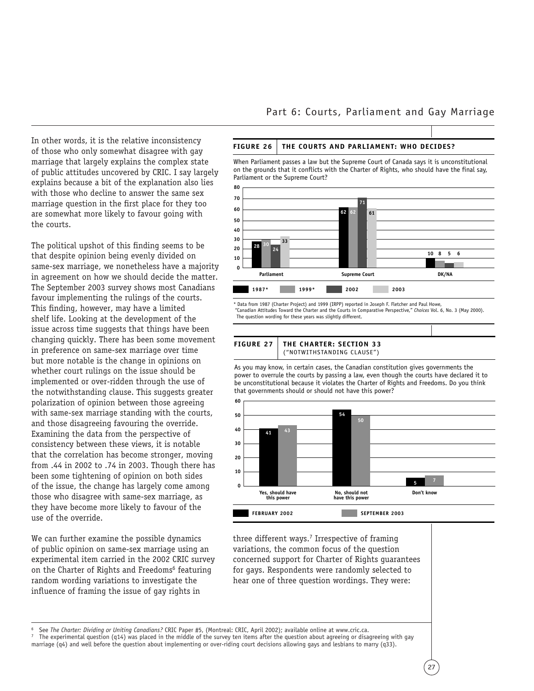In other words, it is the relative inconsistency of those who only somewhat disagree with gay marriage that largely explains the complex state of public attitudes uncovered by CRIC. I say largely explains because a bit of the explanation also lies with those who decline to answer the same sex marriage question in the first place for they too are somewhat more likely to favour going with the courts.

The political upshot of this finding seems to be that despite opinion being evenly divided on same-sex marriage, we nonetheless have a majority in agreement on how we should decide the matter. The September 2003 survey shows most Canadians favour implementing the rulings of the courts. This finding, however, may have a limited shelf life. Looking at the development of the issue across time suggests that things have been changing quickly. There has been some movement in preference on same-sex marriage over time but more notable is the change in opinions on whether court rulings on the issue should be implemented or over-ridden through the use of the notwithstanding clause. This suggests greater polarization of opinion between those agreeing with same-sex marriage standing with the courts, and those disagreeing favouring the override. Examining the data from the perspective of consistency between these views, it is notable that the correlation has become stronger, moving from .44 in 2002 to .74 in 2003. Though there has been some tightening of opinion on both sides of the issue, the change has largely come among those who disagree with same-sex marriage, as they have become more likely to favour of the use of the override.

We can further examine the possible dynamics of public opinion on same-sex marriage using an experimental item carried in the 2002 CRIC survey on the Charter of Rights and Freedoms<sup>6</sup> featuring random wording variations to investigate the influence of framing the issue of gay rights in

#### **FIGURE 26 THE COURTS AND PARLIAMENT: WHO DECIDES?**

When Parliament passes a law but the Supreme Court of Canada says it is unconstitutional on the grounds that it conflicts with the Charter of Rights, who should have the final say, Parliament or the Supreme Court?



Data from 1987 (Charter Project) and 1999 (IRPP) reported in Joseph F. Fletcher and Paul Howe, "Canadian Attitudes Toward the Charter and the Courts in Comparative Perspective," *Choices* Vol. 6, No. 3 (May 2000). The question wording for these years was slightly different.



As you may know, in certain cases, the Canadian constitution gives governments the power to overrule the courts by passing a law, even though the courts have declared it to be unconstitutional because it violates the Charter of Rights and Freedoms. Do you think that governments should or should not have this power?



three different ways.<sup>7</sup> Irrespective of framing variations, the common focus of the question concerned support for Charter of Rights guarantees for gays. Respondents were randomly selected to hear one of three question wordings. They were:

See The Charter: Dividing or Uniting Canadians? CRIC Paper #5, (Montreal: CRIC, April 2002); available online at www.cric.ca.<br>The experimental question (q14) was placed in the middle of the survey ten items after the quest

marriage (q4) and well before the question about implementing or over-riding court decisions allowing gays and lesbians to marry (q33).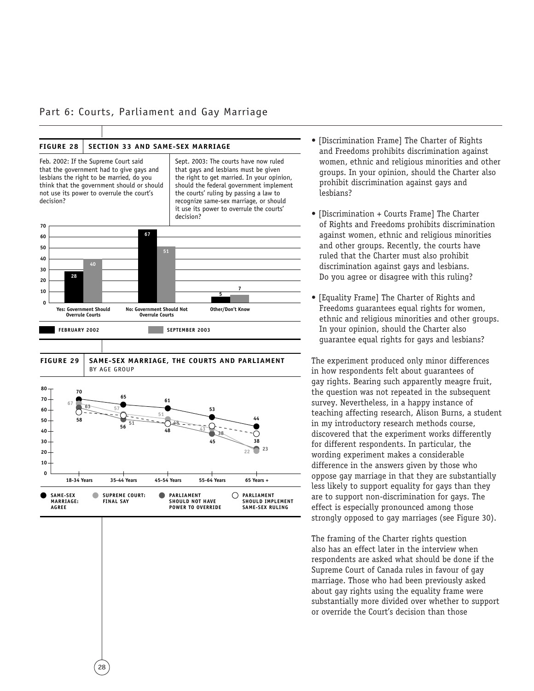#### Part 6: Courts, Parliament and Gay Marriage

#### FIGURE 28 | SECTION 33 AND SAME-SEX MARRIAGE



28

- [Discrimination Frame] The Charter of Rights and Freedoms prohibits discrimination against women, ethnic and religious minorities and other groups. In your opinion, should the Charter also prohibit discrimination against gays and lesbians?
- [Discrimination + Courts Frame] The Charter of Rights and Freedoms prohibits discrimination against women, ethnic and religious minorities and other groups. Recently, the courts have ruled that the Charter must also prohibit discrimination against gays and lesbians. Do you agree or disagree with this ruling?
- [Equality Frame] The Charter of Rights and Freedoms guarantees equal rights for women, ethnic and religious minorities and other groups. In your opinion, should the Charter also guarantee equal rights for gays and lesbians?

The experiment produced only minor differences in how respondents felt about guarantees of gay rights. Bearing such apparently meagre fruit, the question was not repeated in the subsequent survey. Nevertheless, in a happy instance of teaching affecting research, Alison Burns, a student in my introductory research methods course, discovered that the experiment works differently for different respondents. In particular, the wording experiment makes a considerable difference in the answers given by those who oppose gay marriage in that they are substantially less likely to support equality for gays than they are to support non-discrimination for gays. The effect is especially pronounced among those strongly opposed to gay marriages (see Figure 30).

The framing of the Charter rights question also has an effect later in the interview when respondents are asked what should be done if the Supreme Court of Canada rules in favour of gay marriage. Those who had been previously asked about gay rights using the equality frame were substantially more divided over whether to support or override the Court's decision than those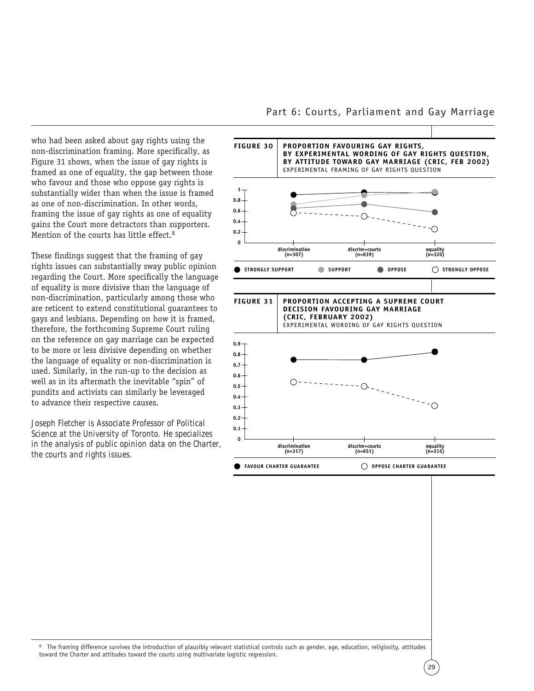who had been asked about gay rights using the non-discrimination framing. More specifically, as Figure 31 shows, when the issue of gay rights is framed as one of equality, the gap between those who favour and those who oppose gay rights is substantially wider than when the issue is framed as one of non-discrimination. In other words, framing the issue of gay rights as one of equality gains the Court more detractors than supporters. Mention of the courts has little effect.<sup>8</sup>

These findings suggest that the framing of gay rights issues can substantially sway public opinion regarding the Court. More specifically the language of equality is more divisive than the language of non-discrimination, particularly among those who are reticent to extend constitutional guarantees to gays and lesbians. Depending on how it is framed, therefore, the forthcoming Supreme Court ruling on the reference on gay marriage can be expected to be more or less divisive depending on whether the language of equality or non-discrimination is used. Similarly, in the run-up to the decision as well as in its aftermath the inevitable "spin" of pundits and activists can similarly be leveraged to advance their respective causes.

*Joseph Fletcher is Associate Professor of Political Science at the University of Toronto. He specializes in the analysis of public opinion data on the Charter, the courts and rights issues.* 

#### Part 6: Courts, Parliament and Gay Marriage



<sup>8</sup> The framing difference survives the introduction of plausibly relevant statistical controls such as gender, age, education, religiosity, attitudes toward the Charter and attitudes toward the courts using multivariate logistic regression.